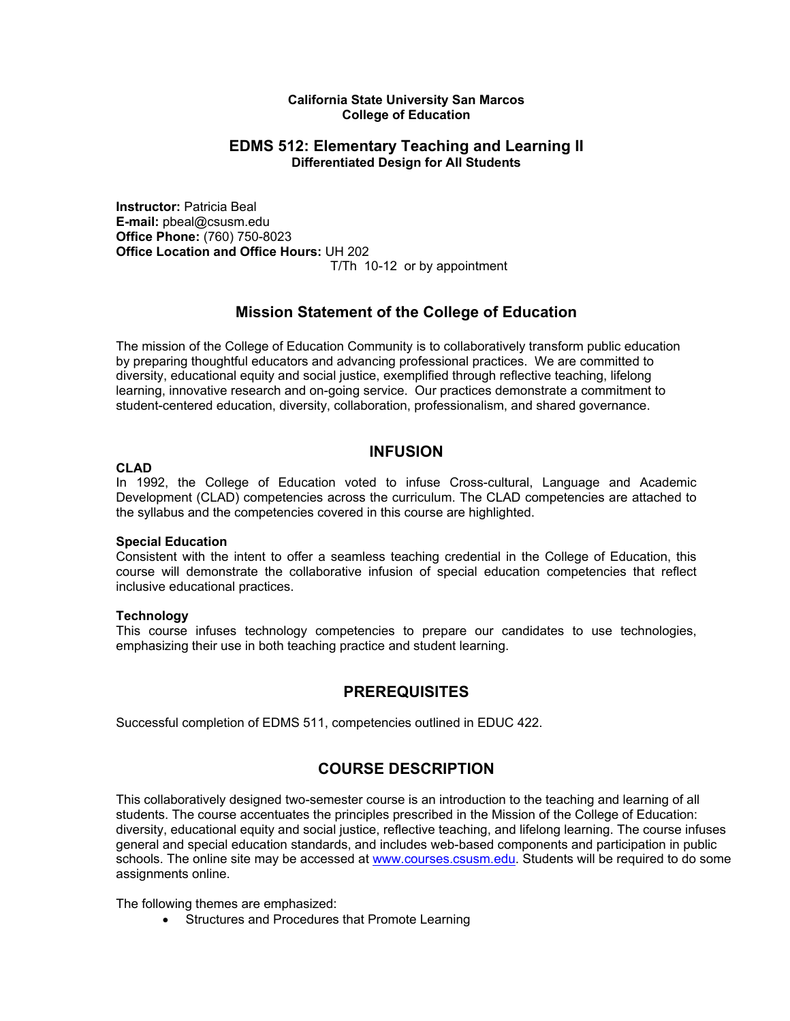#### **California State University San Marcos College of Education**

### **EDMS 512: Elementary Teaching and Learning II Differentiated Design for All Students**

**Instructor:** Patricia Beal **E-mail:** pbeal@csusm.edu **Office Phone:** (760) 750-8023 **Office Location and Office Hours:** UH 202 T/Th 10-12 or by appointment

# **Mission Statement of the College of Education**

The mission of the College of Education Community is to collaboratively transform public education by preparing thoughtful educators and advancing professional practices. We are committed to diversity, educational equity and social justice, exemplified through reflective teaching, lifelong learning, innovative research and on-going service. Our practices demonstrate a commitment to student-centered education, diversity, collaboration, professionalism, and shared governance.

# **INFUSION**

#### **CLAD**

In 1992, the College of Education voted to infuse Cross-cultural, Language and Academic Development (CLAD) competencies across the curriculum. The CLAD competencies are attached to the syllabus and the competencies covered in this course are highlighted.

#### **Special Education**

Consistent with the intent to offer a seamless teaching credential in the College of Education, this course will demonstrate the collaborative infusion of special education competencies that reflect inclusive educational practices.

#### **Technology**

This course infuses technology competencies to prepare our candidates to use technologies, emphasizing their use in both teaching practice and student learning.

### **PREREQUISITES**

Successful completion of EDMS 511, competencies outlined in EDUC 422.

# **COURSE DESCRIPTION**

This collaboratively designed two-semester course is an introduction to the teaching and learning of all students. The course accentuates the principles prescribed in the Mission of the College of Education: diversity, educational equity and social justice, reflective teaching, and lifelong learning. The course infuses general and special education standards, and includes web-based components and participation in public schools. The online site may be accessed at www.courses.csusm.edu. Students will be required to do some assignments online.

The following themes are emphasized:

• Structures and Procedures that Promote Learning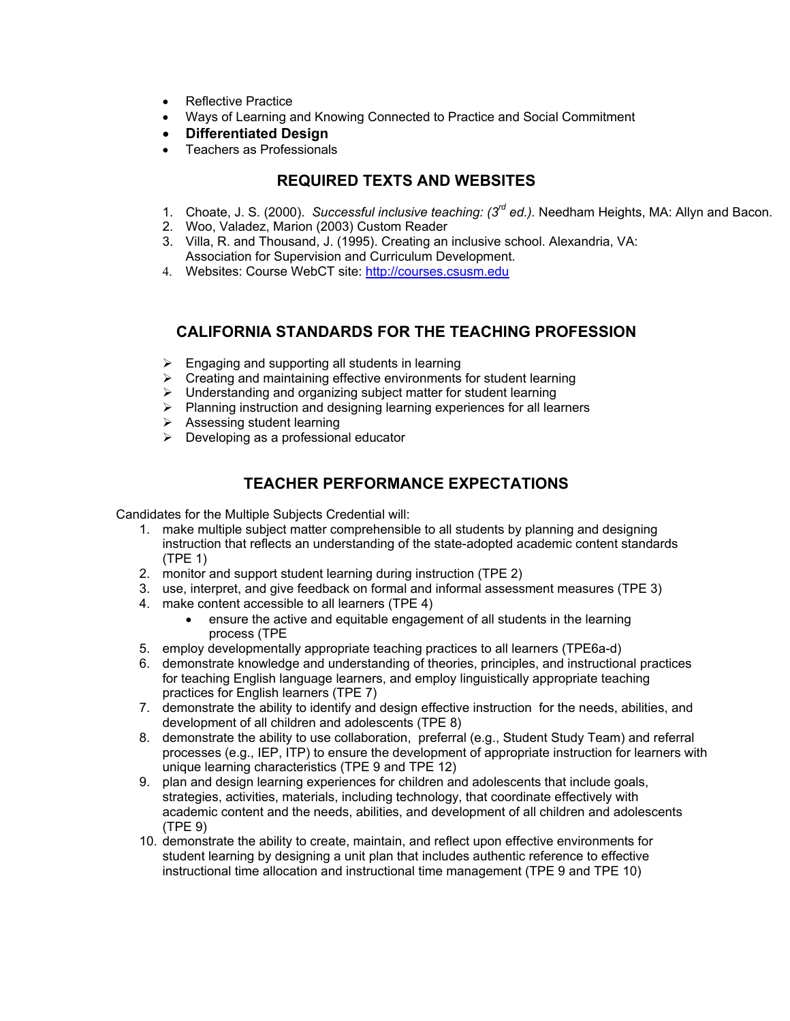- Reflective Practice
- Ways of Learning and Knowing Connected to Practice and Social Commitment
- **Differentiated Design**
- Teachers as Professionals

# **REQUIRED TEXTS AND WEBSITES**

- 1. Choate, J. S. (2000). *Successful inclusive teaching: (3rd ed.).* Needham Heights, MA: Allyn and Bacon.
- 2. Woo, Valadez, Marion (2003) Custom Reader
- 3. Villa, R. and Thousand, J. (1995). Creating an inclusive school. Alexandria, VA: Association for Supervision and Curriculum Development.
- 4. Websites: Course WebCT site: http://courses.csusm.edu

# **CALIFORNIA STANDARDS FOR THE TEACHING PROFESSION**

- $\triangleright$  Engaging and supporting all students in learning
- $\triangleright$  Creating and maintaining effective environments for student learning
- $\triangleright$  Understanding and organizing subject matter for student learning
- $\triangleright$  Planning instruction and designing learning experiences for all learners
- → Assessing student learning
- $\triangleright$  Developing as a professional educator

# **TEACHER PERFORMANCE EXPECTATIONS**

Candidates for the Multiple Subjects Credential will:

- 1. make multiple subject matter comprehensible to all students by planning and designing instruction that reflects an understanding of the state-adopted academic content standards (TPE 1)
- 2. monitor and support student learning during instruction (TPE 2)
- 3. use, interpret, and give feedback on formal and informal assessment measures (TPE 3)
- 4. make content accessible to all learners (TPE 4)
	- ensure the active and equitable engagement of all students in the learning process (TPE
- 5. employ developmentally appropriate teaching practices to all learners (TPE6a-d)
- 6. demonstrate knowledge and understanding of theories, principles, and instructional practices for teaching English language learners, and employ linguistically appropriate teaching practices for English learners (TPE 7)
- 7. demonstrate the ability to identify and design effective instruction for the needs, abilities, and development of all children and adolescents (TPE 8)
- 8. demonstrate the ability to use collaboration, preferral (e.g., Student Study Team) and referral processes (e.g., IEP, ITP) to ensure the development of appropriate instruction for learners with unique learning characteristics (TPE 9 and TPE 12)
- 9. plan and design learning experiences for children and adolescents that include goals, strategies, activities, materials, including technology, that coordinate effectively with academic content and the needs, abilities, and development of all children and adolescents (TPE 9)
- 10. demonstrate the ability to create, maintain, and reflect upon effective environments for student learning by designing a unit plan that includes authentic reference to effective instructional time allocation and instructional time management (TPE 9 and TPE 10)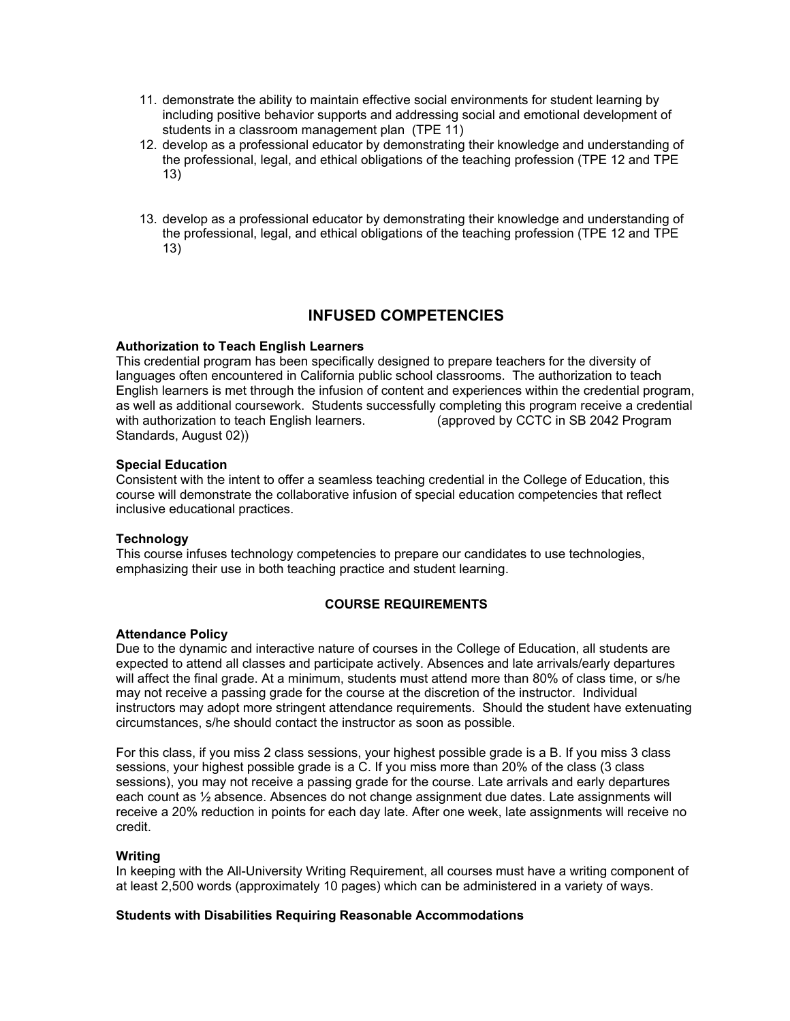- 11. demonstrate the ability to maintain effective social environments for student learning by including positive behavior supports and addressing social and emotional development of students in a classroom management plan (TPE 11)
- 12. develop as a professional educator by demonstrating their knowledge and understanding of the professional, legal, and ethical obligations of the teaching profession (TPE 12 and TPE 13)
- 13. develop as a professional educator by demonstrating their knowledge and understanding of the professional, legal, and ethical obligations of the teaching profession (TPE 12 and TPE 13)

# **INFUSED COMPETENCIES**

#### **Authorization to Teach English Learners**

This credential program has been specifically designed to prepare teachers for the diversity of languages often encountered in California public school classrooms. The authorization to teach English learners is met through the infusion of content and experiences within the credential program, as well as additional coursework. Students successfully completing this program receive a credential with authorization to teach English learners. (approved by CCTC in SB 2042 Program Standards, August 02))

#### **Special Education**

Consistent with the intent to offer a seamless teaching credential in the College of Education, this course will demonstrate the collaborative infusion of special education competencies that reflect inclusive educational practices.

### **Technology**

This course infuses technology competencies to prepare our candidates to use technologies, emphasizing their use in both teaching practice and student learning.

### **COURSE REQUIREMENTS**

#### **Attendance Policy**

Due to the dynamic and interactive nature of courses in the College of Education, all students are expected to attend all classes and participate actively. Absences and late arrivals/early departures will affect the final grade. At a minimum, students must attend more than 80% of class time, or s/he may not receive a passing grade for the course at the discretion of the instructor. Individual instructors may adopt more stringent attendance requirements. Should the student have extenuating circumstances, s/he should contact the instructor as soon as possible.

For this class, if you miss 2 class sessions, your highest possible grade is a B. If you miss 3 class sessions, your highest possible grade is a C. If you miss more than 20% of the class (3 class sessions), you may not receive a passing grade for the course. Late arrivals and early departures each count as ½ absence. Absences do not change assignment due dates. Late assignments will receive a 20% reduction in points for each day late. After one week, late assignments will receive no credit.

#### **Writing**

In keeping with the All-University Writing Requirement, all courses must have a writing component of at least 2,500 words (approximately 10 pages) which can be administered in a variety of ways.

#### **Students with Disabilities Requiring Reasonable Accommodations**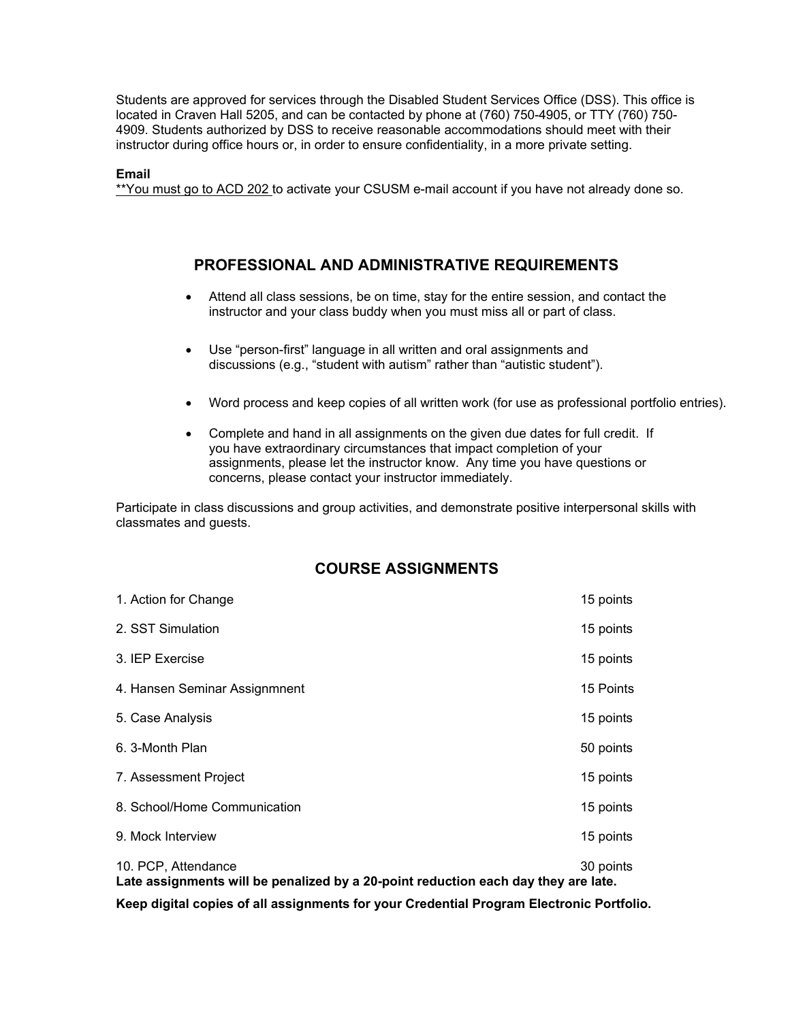Students are approved for services through the Disabled Student Services Office (DSS). This office is located in Craven Hall 5205, and can be contacted by phone at (760) 750-4905, or TTY (760) 750- 4909. Students authorized by DSS to receive reasonable accommodations should meet with their instructor during office hours or, in order to ensure confidentiality, in a more private setting.

#### **Email**

\*\*You must go to ACD 202 to activate your CSUSM e-mail account if you have not already done so.

# **PROFESSIONAL AND ADMINISTRATIVE REQUIREMENTS**

- Attend all class sessions, be on time, stay for the entire session, and contact the instructor and your class buddy when you must miss all or part of class.
- Use "person-first" language in all written and oral assignments and discussions (e.g., "student with autism" rather than "autistic student").
- Word process and keep copies of all written work (for use as professional portfolio entries).
- Complete and hand in all assignments on the given due dates for full credit. If you have extraordinary circumstances that impact completion of your assignments, please let the instructor know. Any time you have questions or concerns, please contact your instructor immediately.

Participate in class discussions and group activities, and demonstrate positive interpersonal skills with classmates and guests.

# **COURSE ASSIGNMENTS**

| 1. Action for Change                                                                                                   | 15 points |
|------------------------------------------------------------------------------------------------------------------------|-----------|
| 2. SST Simulation                                                                                                      | 15 points |
| 3. IEP Exercise                                                                                                        | 15 points |
| 4. Hansen Seminar Assignmnent                                                                                          | 15 Points |
| 5. Case Analysis                                                                                                       | 15 points |
| 6. 3-Month Plan                                                                                                        | 50 points |
| 7. Assessment Project                                                                                                  | 15 points |
| 8. School/Home Communication                                                                                           | 15 points |
| 9. Mock Interview                                                                                                      | 15 points |
| 10. PCP, Attendance<br>30 points<br>Late assignments will be penalized by a 20-point reduction each day they are late. |           |

**Keep digital copies of all assignments for your Credential Program Electronic Portfolio.**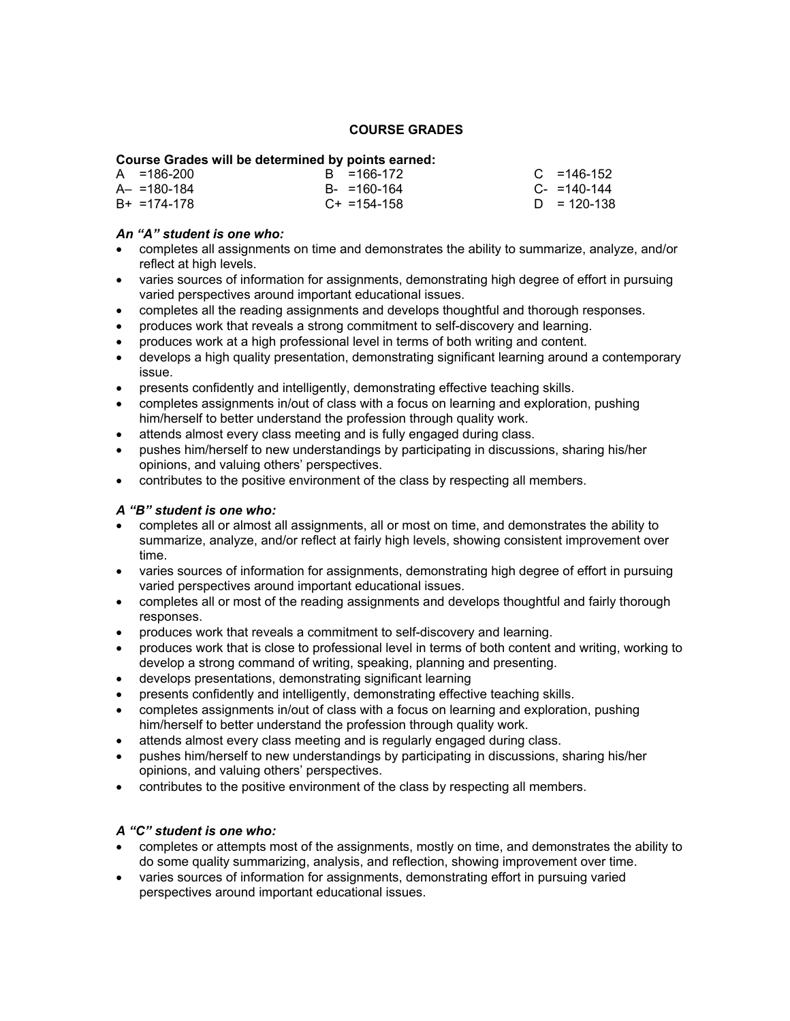#### **COURSE GRADES**

#### **Course Grades will be determined by points earned:**

| $A = 186-200$   | B = 166-172       | $C = 146-152$    |
|-----------------|-------------------|------------------|
| $A - 180 - 184$ | $B - = 160 - 164$ | $C_{-}$ =140-144 |
| $B+ = 174-178$  | $C+ = 154-158$    | $D = 120 - 138$  |

#### *An "A" student is one who:*

- completes all assignments on time and demonstrates the ability to summarize, analyze, and/or reflect at high levels.
- varies sources of information for assignments, demonstrating high degree of effort in pursuing varied perspectives around important educational issues.
- completes all the reading assignments and develops thoughtful and thorough responses.
- produces work that reveals a strong commitment to self-discovery and learning.
- produces work at a high professional level in terms of both writing and content.
- develops a high quality presentation, demonstrating significant learning around a contemporary issue.
- presents confidently and intelligently, demonstrating effective teaching skills.
- completes assignments in/out of class with a focus on learning and exploration, pushing him/herself to better understand the profession through quality work.
- attends almost every class meeting and is fully engaged during class.
- pushes him/herself to new understandings by participating in discussions, sharing his/her opinions, and valuing others' perspectives.
- contributes to the positive environment of the class by respecting all members.

#### *A "B" student is one who:*

- completes all or almost all assignments, all or most on time, and demonstrates the ability to summarize, analyze, and/or reflect at fairly high levels, showing consistent improvement over time.
- varies sources of information for assignments, demonstrating high degree of effort in pursuing varied perspectives around important educational issues.
- completes all or most of the reading assignments and develops thoughtful and fairly thorough responses.
- produces work that reveals a commitment to self-discovery and learning.
- produces work that is close to professional level in terms of both content and writing, working to develop a strong command of writing, speaking, planning and presenting.
- develops presentations, demonstrating significant learning
- presents confidently and intelligently, demonstrating effective teaching skills.
- completes assignments in/out of class with a focus on learning and exploration, pushing him/herself to better understand the profession through quality work.
- attends almost every class meeting and is regularly engaged during class.
- pushes him/herself to new understandings by participating in discussions, sharing his/her opinions, and valuing others' perspectives.
- contributes to the positive environment of the class by respecting all members.

#### *A "C" student is one who:*

- completes or attempts most of the assignments, mostly on time, and demonstrates the ability to do some quality summarizing, analysis, and reflection, showing improvement over time.
- varies sources of information for assignments, demonstrating effort in pursuing varied perspectives around important educational issues.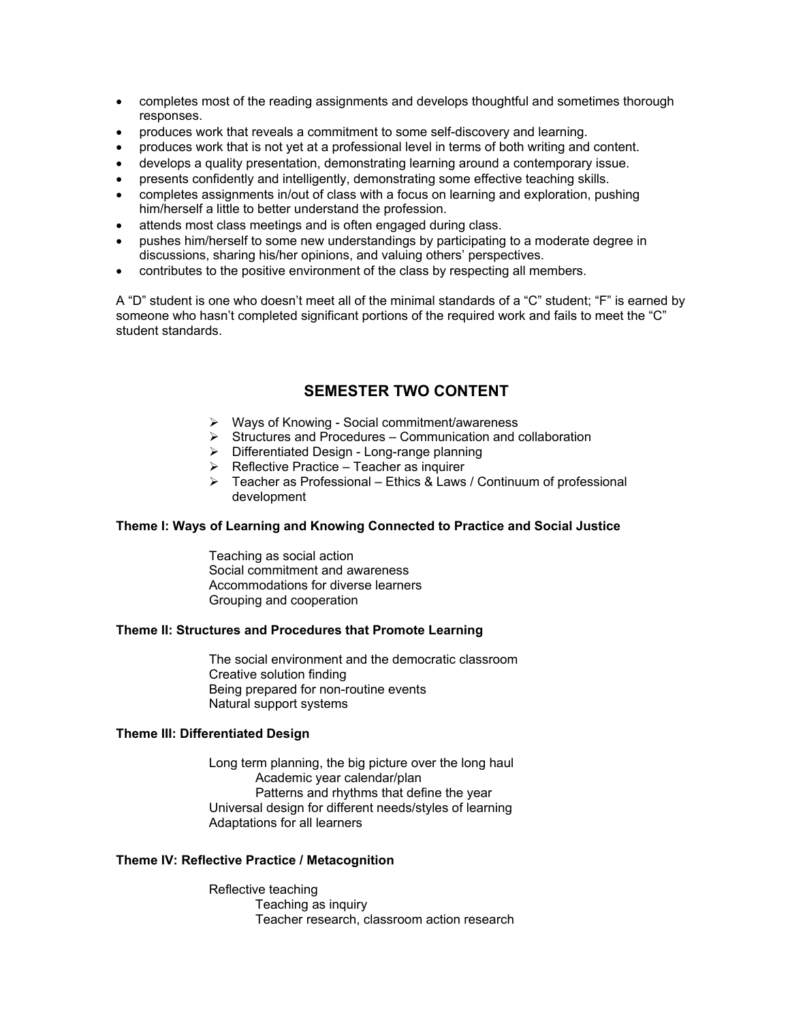- completes most of the reading assignments and develops thoughtful and sometimes thorough responses.
- produces work that reveals a commitment to some self-discovery and learning.
- produces work that is not yet at a professional level in terms of both writing and content.
- develops a quality presentation, demonstrating learning around a contemporary issue.
- presents confidently and intelligently, demonstrating some effective teaching skills.
- completes assignments in/out of class with a focus on learning and exploration, pushing him/herself a little to better understand the profession.
- attends most class meetings and is often engaged during class.
- pushes him/herself to some new understandings by participating to a moderate degree in discussions, sharing his/her opinions, and valuing others' perspectives.
- contributes to the positive environment of the class by respecting all members.

A "D" student is one who doesn't meet all of the minimal standards of a "C" student; "F" is earned by someone who hasn't completed significant portions of the required work and fails to meet the "C" student standards.

# **SEMESTER TWO CONTENT**

- ¾ Ways of Knowing Social commitment/awareness
- $\triangleright$  Structures and Procedures Communication and collaboration
- $\triangleright$  Differentiated Design Long-range planning
- $\triangleright$  Reflective Practice Teacher as inquirer
- $\triangleright$  Teacher as Professional Ethics & Laws / Continuum of professional development

#### **Theme I: Ways of Learning and Knowing Connected to Practice and Social Justice**

Teaching as social action Social commitment and awareness Accommodations for diverse learners Grouping and cooperation

#### **Theme II: Structures and Procedures that Promote Learning**

The social environment and the democratic classroom Creative solution finding Being prepared for non-routine events Natural support systems

#### **Theme III: Differentiated Design**

Long term planning, the big picture over the long haul Academic year calendar/plan Patterns and rhythms that define the year Universal design for different needs/styles of learning Adaptations for all learners

#### **Theme IV: Reflective Practice / Metacognition**

Reflective teaching Teaching as inquiry Teacher research, classroom action research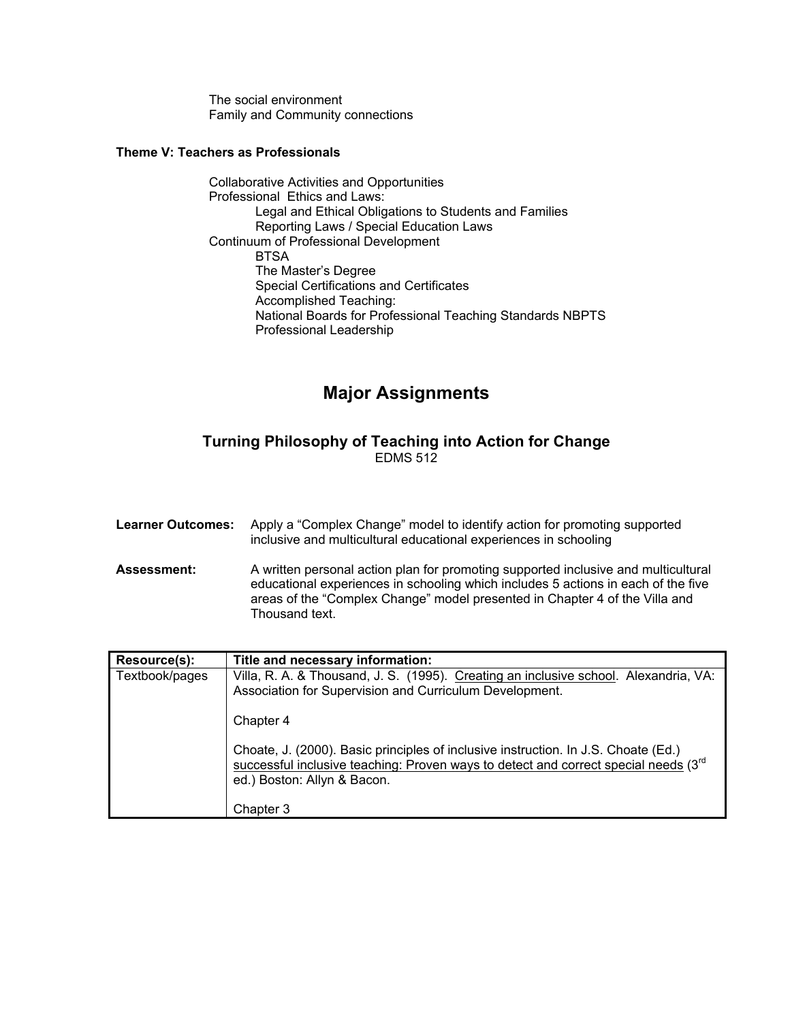The social environment Family and Community connections

## **Theme V: Teachers as Professionals**

Collaborative Activities and Opportunities Professional Ethics and Laws: Legal and Ethical Obligations to Students and Families Reporting Laws / Special Education Laws Continuum of Professional Development **BTSA**  The Master's Degree Special Certifications and Certificates Accomplished Teaching: National Boards for Professional Teaching Standards NBPTS Professional Leadership

# **Major Assignments**

# **Turning Philosophy of Teaching into Action for Change**  EDMS 512

| <b>Learner Outcomes:</b> | Apply a "Complex Change" model to identify action for promoting supported<br>inclusive and multicultural educational experiences in schooling                                                                                                                            |
|--------------------------|--------------------------------------------------------------------------------------------------------------------------------------------------------------------------------------------------------------------------------------------------------------------------|
| <b>Assessment:</b>       | A written personal action plan for promoting supported inclusive and multicultural<br>educational experiences in schooling which includes 5 actions in each of the five<br>areas of the "Complex Change" model presented in Chapter 4 of the Villa and<br>Thousand text. |

| Resource(s):   | Title and necessary information:                                                                                                                                                                                       |
|----------------|------------------------------------------------------------------------------------------------------------------------------------------------------------------------------------------------------------------------|
| Textbook/pages | Villa, R. A. & Thousand, J. S. (1995). Creating an inclusive school. Alexandria, VA:<br>Association for Supervision and Curriculum Development.                                                                        |
|                | Chapter 4                                                                                                                                                                                                              |
|                | Choate, J. (2000). Basic principles of inclusive instruction. In J.S. Choate (Ed.)<br>successful inclusive teaching: Proven ways to detect and correct special needs (3 <sup>rd</sup> )<br>ed.) Boston: Allyn & Bacon. |
|                | Chapter 3                                                                                                                                                                                                              |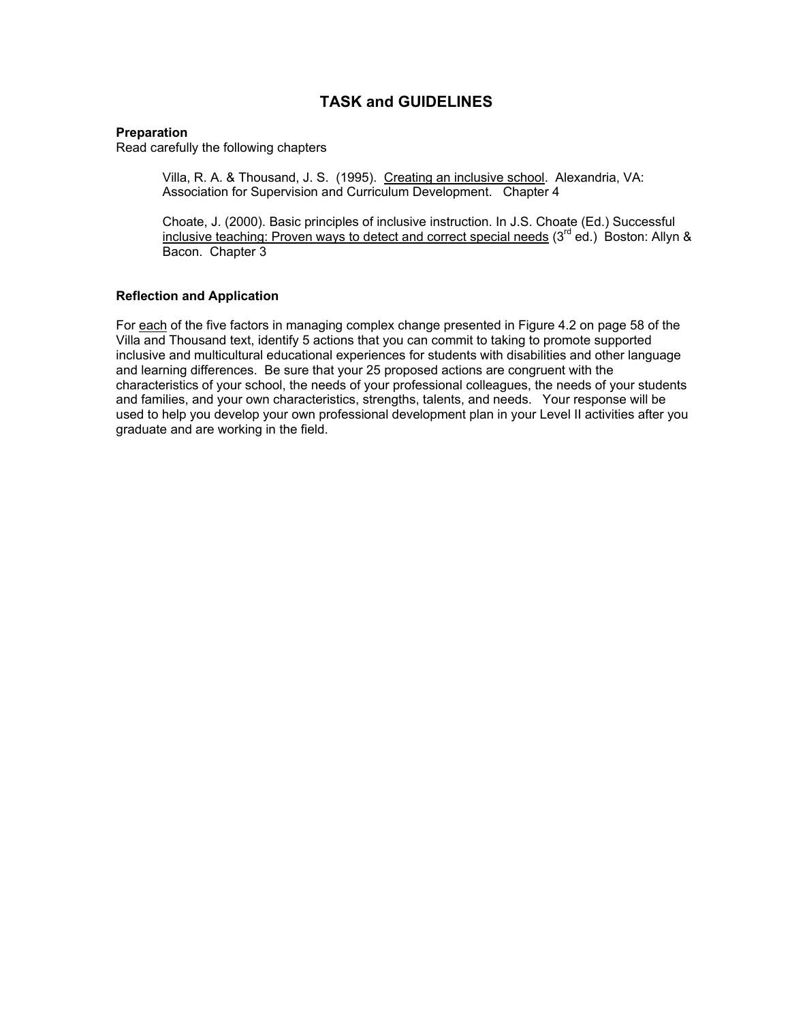# **TASK and GUIDELINES**

#### **Preparation**

Read carefully the following chapters

Villa, R. A. & Thousand, J. S. (1995). Creating an inclusive school. Alexandria, VA: Association for Supervision and Curriculum Development. Chapter 4

Choate, J. (2000). Basic principles of inclusive instruction. In J.S. Choate (Ed.) Successful inclusive teaching: Proven ways to detect and correct special needs  $(3^{rd}$  ed.) Boston: Allyn & Bacon. Chapter 3

#### **Reflection and Application**

For each of the five factors in managing complex change presented in Figure 4.2 on page 58 of the Villa and Thousand text, identify 5 actions that you can commit to taking to promote supported inclusive and multicultural educational experiences for students with disabilities and other language and learning differences. Be sure that your 25 proposed actions are congruent with the characteristics of your school, the needs of your professional colleagues, the needs of your students and families, and your own characteristics, strengths, talents, and needs. Your response will be used to help you develop your own professional development plan in your Level II activities after you graduate and are working in the field.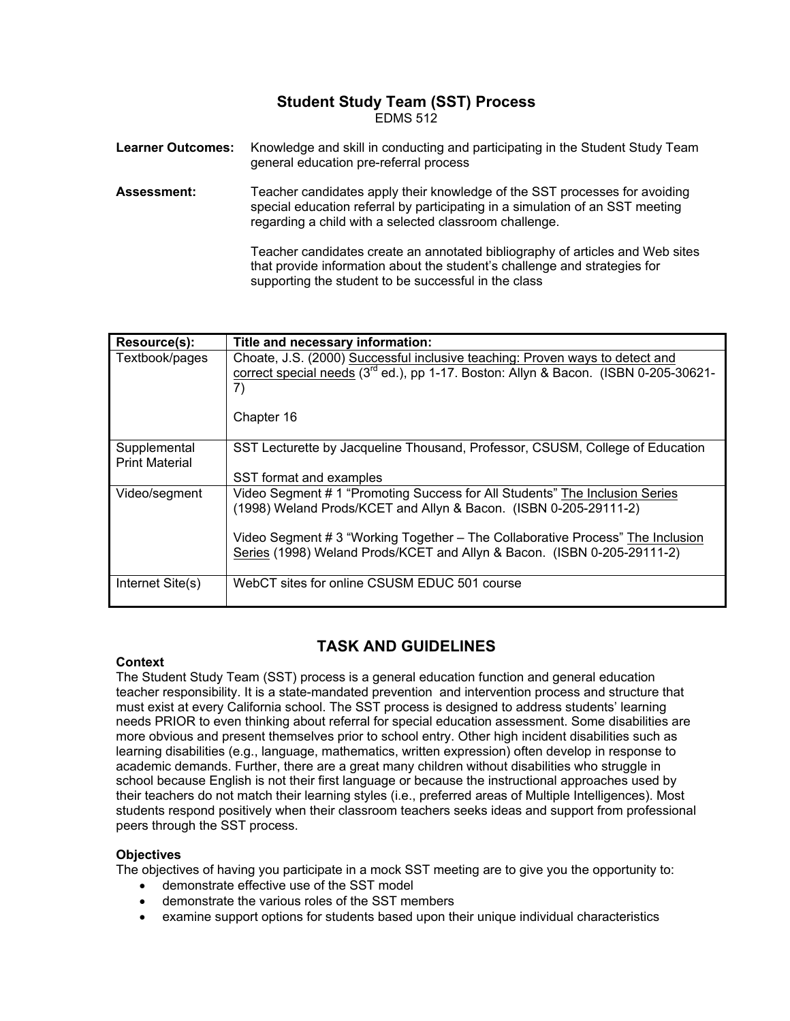#### **Student Study Team (SST) Process**  EDMS 512

| <b>Learner Outcomes:</b> | Knowledge and skill in conducting and participating in the Student Study Team<br>general education pre-referral process                                                                                               |
|--------------------------|-----------------------------------------------------------------------------------------------------------------------------------------------------------------------------------------------------------------------|
| <b>Assessment:</b>       | Teacher candidates apply their knowledge of the SST processes for avoiding<br>special education referral by participating in a simulation of an SST meeting<br>regarding a child with a selected classroom challenge. |
|                          | Teacher candidates create an annotated bibliography of articles and Web sites                                                                                                                                         |

that provide information about the student's challenge and strategies for supporting the student to be successful in the class

| Resource(s):                          | Title and necessary information:                                                                                                                                                                                                                                                                             |
|---------------------------------------|--------------------------------------------------------------------------------------------------------------------------------------------------------------------------------------------------------------------------------------------------------------------------------------------------------------|
| Textbook/pages                        | Choate, J.S. (2000) Successful inclusive teaching: Proven ways to detect and<br>correct special needs (3 <sup>rd</sup> ed.), pp 1-17. Boston: Allyn & Bacon. (ISBN 0-205-30621-<br>7)                                                                                                                        |
|                                       | Chapter 16                                                                                                                                                                                                                                                                                                   |
| Supplemental<br><b>Print Material</b> | SST Lecturette by Jacqueline Thousand, Professor, CSUSM, College of Education<br>SST format and examples                                                                                                                                                                                                     |
| Video/segment                         | Video Segment # 1 "Promoting Success for All Students" The Inclusion Series<br>(1998) Weland Prods/KCET and Allyn & Bacon. (ISBN 0-205-29111-2)<br>Video Segment # 3 "Working Together – The Collaborative Process" The Inclusion<br>Series (1998) Weland Prods/KCET and Allyn & Bacon. (ISBN 0-205-29111-2) |
| Internet Site(s)                      | WebCT sites for online CSUSM EDUC 501 course                                                                                                                                                                                                                                                                 |

# **TASK AND GUIDELINES**

### **Context**

The Student Study Team (SST) process is a general education function and general education teacher responsibility. It is a state-mandated prevention and intervention process and structure that must exist at every California school. The SST process is designed to address students' learning needs PRIOR to even thinking about referral for special education assessment. Some disabilities are more obvious and present themselves prior to school entry. Other high incident disabilities such as learning disabilities (e.g., language, mathematics, written expression) often develop in response to academic demands. Further, there are a great many children without disabilities who struggle in school because English is not their first language or because the instructional approaches used by their teachers do not match their learning styles (i.e., preferred areas of Multiple Intelligences). Most students respond positively when their classroom teachers seeks ideas and support from professional peers through the SST process.

### **Objectives**

The objectives of having you participate in a mock SST meeting are to give you the opportunity to:

- demonstrate effective use of the SST model
- demonstrate the various roles of the SST members
- examine support options for students based upon their unique individual characteristics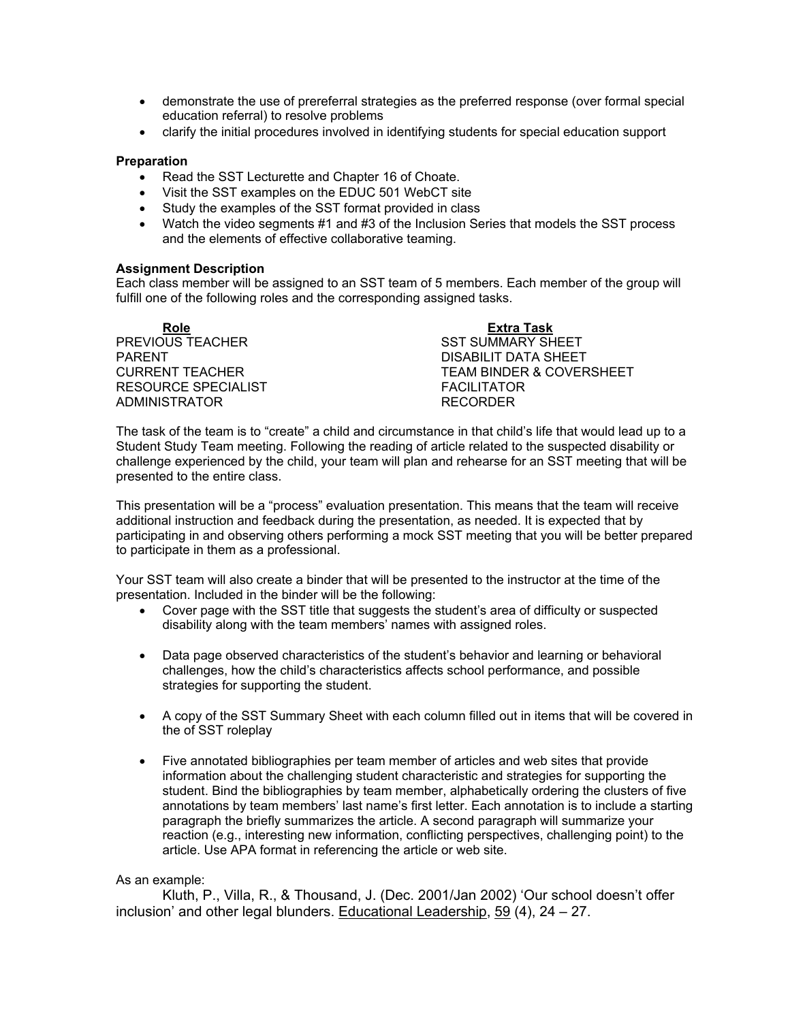- demonstrate the use of prereferral strategies as the preferred response (over formal special education referral) to resolve problems
- clarify the initial procedures involved in identifying students for special education support

#### **Preparation**

- Read the SST Lecturette and Chapter 16 of Choate.
- Visit the SST examples on the EDUC 501 WebCT site
- Study the examples of the SST format provided in class
- Watch the video segments #1 and #3 of the Inclusion Series that models the SST process and the elements of effective collaborative teaming.

#### **Assignment Description**

Each class member will be assigned to an SST team of 5 members. Each member of the group will fulfill one of the following roles and the corresponding assigned tasks.

| <b>Role</b>         | Extra Task               |
|---------------------|--------------------------|
| PREVIOUS TEACHER    | <b>SST SUMMARY SHEET</b> |
| <b>PARENT</b>       | DISABILIT DATA SHEET     |
| CURRENT TEACHER     | TEAM BINDER & COVERSHEET |
| RESOURCE SPECIALIST | <b>FACILITATOR</b>       |
| ADMINISTRATOR       | <b>RECORDER</b>          |

The task of the team is to "create" a child and circumstance in that child's life that would lead up to a Student Study Team meeting. Following the reading of article related to the suspected disability or challenge experienced by the child, your team will plan and rehearse for an SST meeting that will be presented to the entire class.

This presentation will be a "process" evaluation presentation. This means that the team will receive additional instruction and feedback during the presentation, as needed. It is expected that by participating in and observing others performing a mock SST meeting that you will be better prepared to participate in them as a professional.

Your SST team will also create a binder that will be presented to the instructor at the time of the presentation. Included in the binder will be the following:

- Cover page with the SST title that suggests the student's area of difficulty or suspected disability along with the team members' names with assigned roles.
- Data page observed characteristics of the student's behavior and learning or behavioral challenges, how the child's characteristics affects school performance, and possible strategies for supporting the student.
- A copy of the SST Summary Sheet with each column filled out in items that will be covered in the of SST roleplay
- Five annotated bibliographies per team member of articles and web sites that provide information about the challenging student characteristic and strategies for supporting the student. Bind the bibliographies by team member, alphabetically ordering the clusters of five annotations by team members' last name's first letter. Each annotation is to include a starting paragraph the briefly summarizes the article. A second paragraph will summarize your reaction (e.g., interesting new information, conflicting perspectives, challenging point) to the article. Use APA format in referencing the article or web site.

#### As an example:

Kluth, P., Villa, R., & Thousand, J. (Dec. 2001/Jan 2002) 'Our school doesn't offer inclusion' and other legal blunders. Educational Leadership, 59 (4), 24 – 27.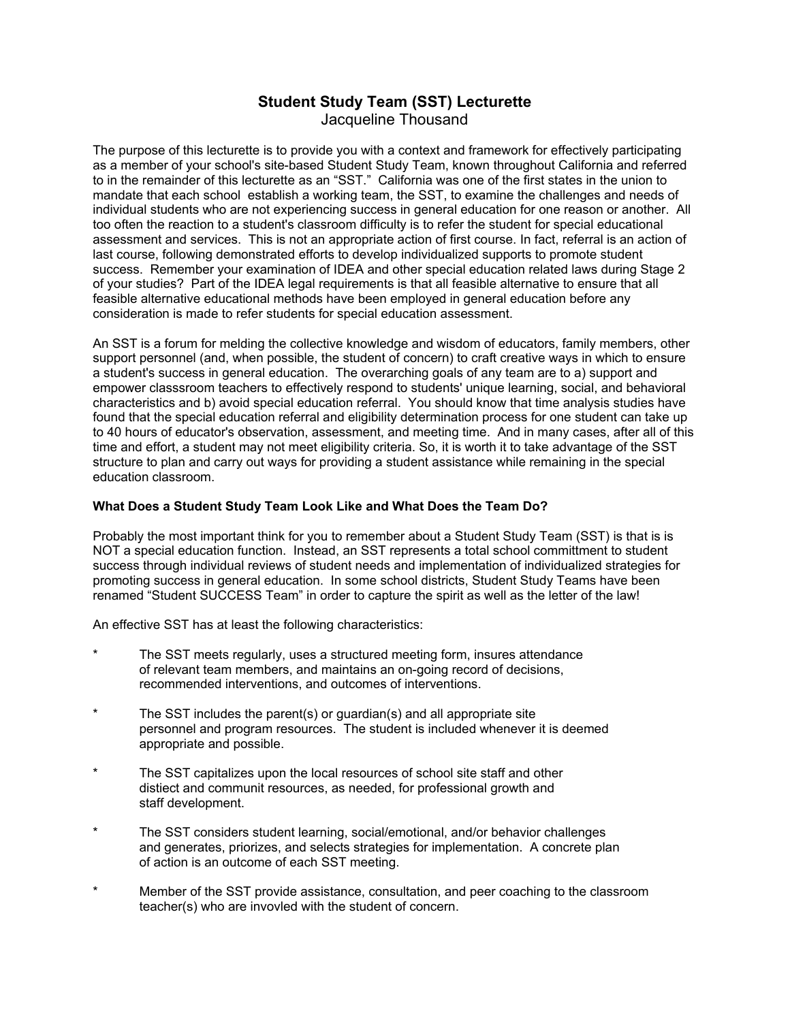# **Student Study Team (SST) Lecturette**  Jacqueline Thousand

The purpose of this lecturette is to provide you with a context and framework for effectively participating as a member of your school's site-based Student Study Team, known throughout California and referred to in the remainder of this lecturette as an "SST." California was one of the first states in the union to mandate that each school establish a working team, the SST, to examine the challenges and needs of individual students who are not experiencing success in general education for one reason or another. All too often the reaction to a student's classroom difficulty is to refer the student for special educational assessment and services. This is not an appropriate action of first course. In fact, referral is an action of last course, following demonstrated efforts to develop individualized supports to promote student success. Remember your examination of IDEA and other special education related laws during Stage 2 of your studies? Part of the IDEA legal requirements is that all feasible alternative to ensure that all feasible alternative educational methods have been employed in general education before any consideration is made to refer students for special education assessment.

An SST is a forum for melding the collective knowledge and wisdom of educators, family members, other support personnel (and, when possible, the student of concern) to craft creative ways in which to ensure a student's success in general education. The overarching goals of any team are to a) support and empower classsroom teachers to effectively respond to students' unique learning, social, and behavioral characteristics and b) avoid special education referral. You should know that time analysis studies have found that the special education referral and eligibility determination process for one student can take up to 40 hours of educator's observation, assessment, and meeting time. And in many cases, after all of this time and effort, a student may not meet eligibility criteria. So, it is worth it to take advantage of the SST structure to plan and carry out ways for providing a student assistance while remaining in the special education classroom.

### **What Does a Student Study Team Look Like and What Does the Team Do?**

Probably the most important think for you to remember about a Student Study Team (SST) is that is is NOT a special education function. Instead, an SST represents a total school committment to student success through individual reviews of student needs and implementation of individualized strategies for promoting success in general education. In some school districts, Student Study Teams have been renamed "Student SUCCESS Team" in order to capture the spirit as well as the letter of the law!

An effective SST has at least the following characteristics:

- The SST meets regularly, uses a structured meeting form, insures attendance of relevant team members, and maintains an on-going record of decisions, recommended interventions, and outcomes of interventions.
- The SST includes the parent(s) or guardian(s) and all appropriate site personnel and program resources. The student is included whenever it is deemed appropriate and possible.
- The SST capitalizes upon the local resources of school site staff and other distiect and communit resources, as needed, for professional growth and staff development.
- The SST considers student learning, social/emotional, and/or behavior challenges and generates, priorizes, and selects strategies for implementation. A concrete plan of action is an outcome of each SST meeting.
- Member of the SST provide assistance, consultation, and peer coaching to the classroom teacher(s) who are invovled with the student of concern.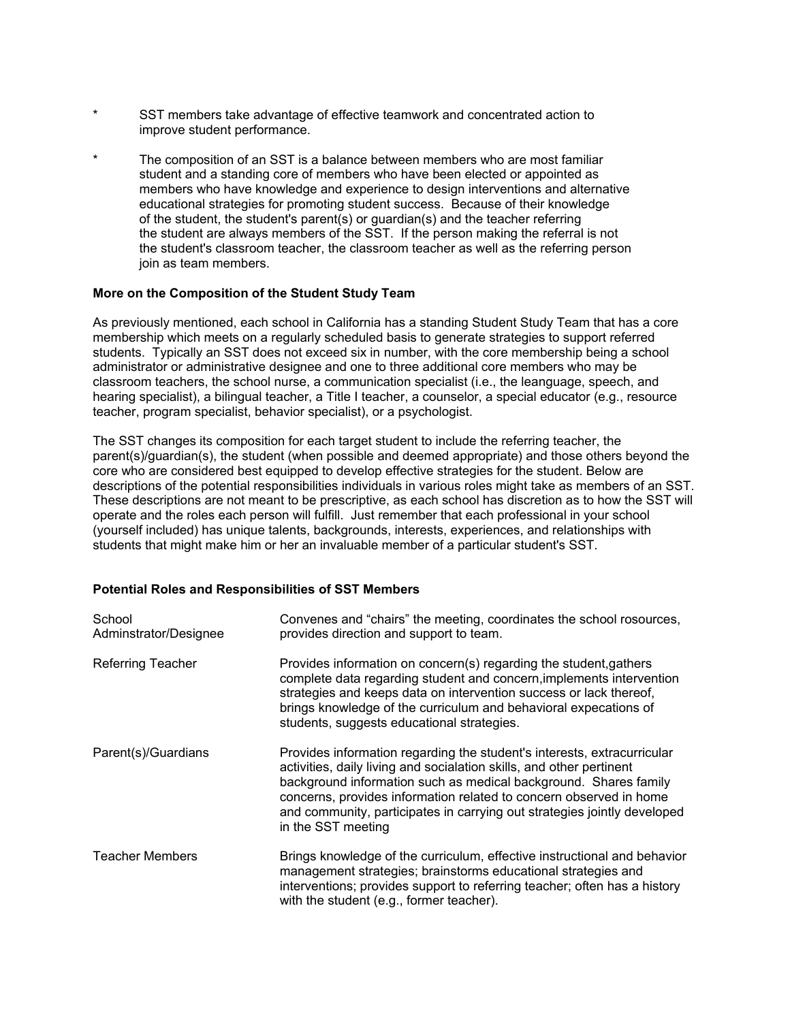- SST members take advantage of effective teamwork and concentrated action to improve student performance.
- The composition of an SST is a balance between members who are most familiar student and a standing core of members who have been elected or appointed as members who have knowledge and experience to design interventions and alternative educational strategies for promoting student success. Because of their knowledge of the student, the student's parent(s) or guardian(s) and the teacher referring the student are always members of the SST. If the person making the referral is not the student's classroom teacher, the classroom teacher as well as the referring person join as team members.

#### **More on the Composition of the Student Study Team**

As previously mentioned, each school in California has a standing Student Study Team that has a core membership which meets on a regularly scheduled basis to generate strategies to support referred students. Typically an SST does not exceed six in number, with the core membership being a school administrator or administrative designee and one to three additional core members who may be classroom teachers, the school nurse, a communication specialist (i.e., the leanguage, speech, and hearing specialist), a bilingual teacher, a Title I teacher, a counselor, a special educator (e.g., resource teacher, program specialist, behavior specialist), or a psychologist.

The SST changes its composition for each target student to include the referring teacher, the parent(s)/guardian(s), the student (when possible and deemed appropriate) and those others beyond the core who are considered best equipped to develop effective strategies for the student. Below are descriptions of the potential responsibilities individuals in various roles might take as members of an SST. These descriptions are not meant to be prescriptive, as each school has discretion as to how the SST will operate and the roles each person will fulfill. Just remember that each professional in your school (yourself included) has unique talents, backgrounds, interests, experiences, and relationships with students that might make him or her an invaluable member of a particular student's SST.

#### **Potential Roles and Responsibilities of SST Members**

| School<br>Adminstrator/Designee | Convenes and "chairs" the meeting, coordinates the school rosources,<br>provides direction and support to team.                                                                                                                                                                                                                                                                             |
|---------------------------------|---------------------------------------------------------------------------------------------------------------------------------------------------------------------------------------------------------------------------------------------------------------------------------------------------------------------------------------------------------------------------------------------|
| <b>Referring Teacher</b>        | Provides information on concern(s) regarding the student, gathers<br>complete data regarding student and concern, implements intervention<br>strategies and keeps data on intervention success or lack thereof,<br>brings knowledge of the curriculum and behavioral expecations of<br>students, suggests educational strategies.                                                           |
| Parent(s)/Guardians             | Provides information regarding the student's interests, extracurricular<br>activities, daily living and socialation skills, and other pertinent<br>background information such as medical background. Shares family<br>concerns, provides information related to concern observed in home<br>and community, participates in carrying out strategies jointly developed<br>in the SST meeting |
| <b>Teacher Members</b>          | Brings knowledge of the curriculum, effective instructional and behavior<br>management strategies; brainstorms educational strategies and<br>interventions; provides support to referring teacher; often has a history<br>with the student (e.g., former teacher).                                                                                                                          |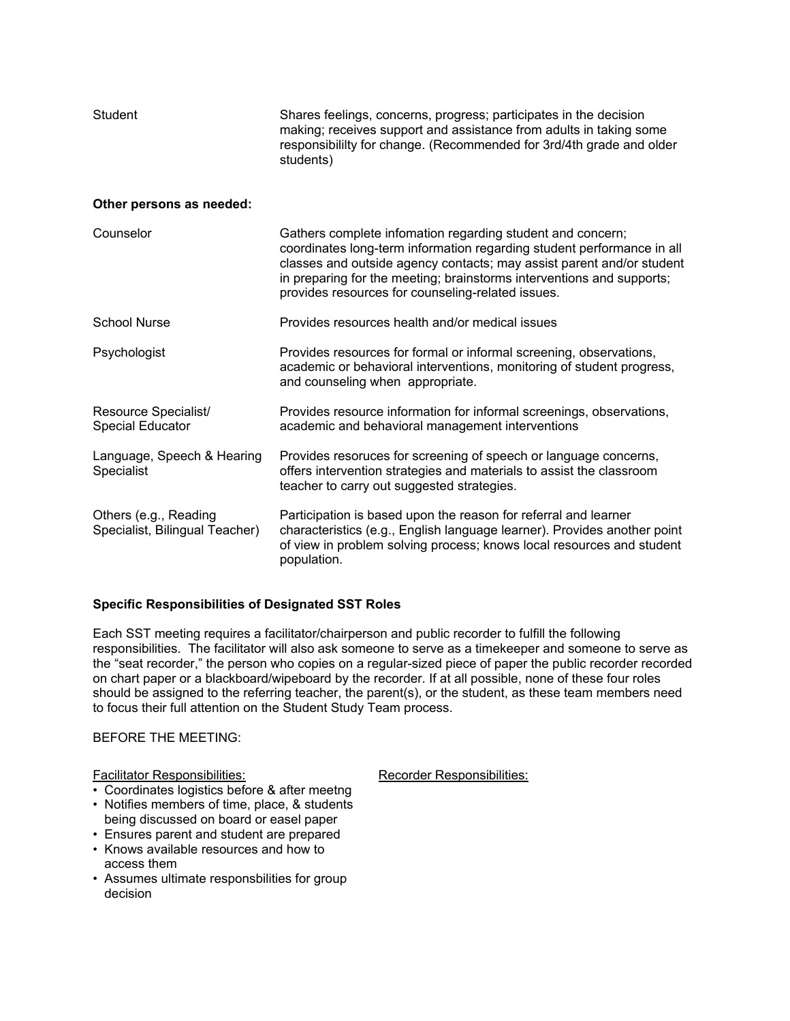| <b>Student</b>                                          | Shares feelings, concerns, progress; participates in the decision<br>making; receives support and assistance from adults in taking some<br>responsibililty for change. (Recommended for 3rd/4th grade and older<br>students)                                                                                                                |  |
|---------------------------------------------------------|---------------------------------------------------------------------------------------------------------------------------------------------------------------------------------------------------------------------------------------------------------------------------------------------------------------------------------------------|--|
| Other persons as needed:                                |                                                                                                                                                                                                                                                                                                                                             |  |
| Counselor                                               | Gathers complete infomation regarding student and concern;<br>coordinates long-term information regarding student performance in all<br>classes and outside agency contacts; may assist parent and/or student<br>in preparing for the meeting; brainstorms interventions and supports;<br>provides resources for counseling-related issues. |  |
| <b>School Nurse</b>                                     | Provides resources health and/or medical issues                                                                                                                                                                                                                                                                                             |  |
| Psychologist                                            | Provides resources for formal or informal screening, observations,<br>academic or behavioral interventions, monitoring of student progress,<br>and counseling when appropriate.                                                                                                                                                             |  |
| Resource Specialist/<br><b>Special Educator</b>         | Provides resource information for informal screenings, observations,<br>academic and behavioral management interventions                                                                                                                                                                                                                    |  |
| Language, Speech & Hearing<br>Specialist                | Provides resoruces for screening of speech or language concerns,<br>offers intervention strategies and materials to assist the classroom<br>teacher to carry out suggested strategies.                                                                                                                                                      |  |
| Others (e.g., Reading<br>Specialist, Bilingual Teacher) | Participation is based upon the reason for referral and learner<br>characteristics (e.g., English language learner). Provides another point<br>of view in problem solving process; knows local resources and student<br>population.                                                                                                         |  |

### **Specific Responsibilities of Designated SST Roles**

Each SST meeting requires a facilitator/chairperson and public recorder to fulfill the following responsibilities. The facilitator will also ask someone to serve as a timekeeper and someone to serve as the "seat recorder," the person who copies on a regular-sized piece of paper the public recorder recorded on chart paper or a blackboard/wipeboard by the recorder. If at all possible, none of these four roles should be assigned to the referring teacher, the parent(s), or the student, as these team members need to focus their full attention on the Student Study Team process.

#### BEFORE THE MEETING:

#### Facilitator Responsibilities: Recorder Responsibilities:

- Coordinates logistics before & after meetng
- Notifies members of time, place, & students being discussed on board or easel paper
- Ensures parent and student are prepared
- Knows available resources and how to access them
- Assumes ultimate responsbilities for group decision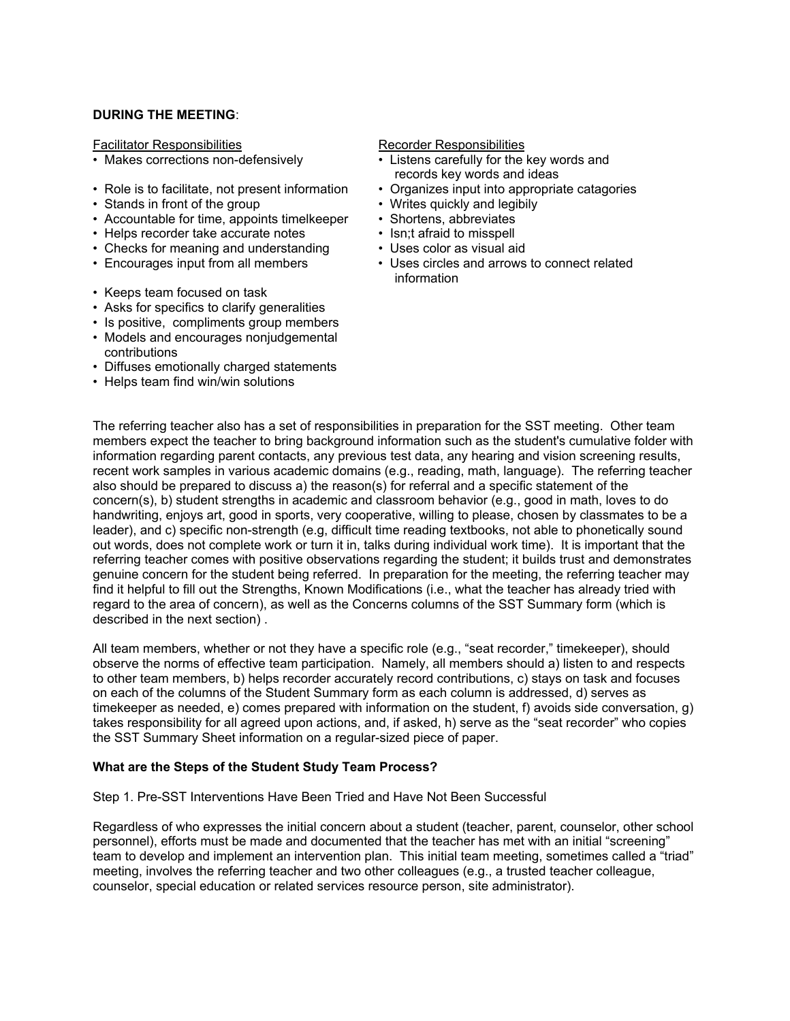#### **DURING THE MEETING**:

Facilitator Responsibilities **Recorder Responsibilities** Recorder Responsibilities

- 
- Role is to facilitate, not present information Organizes input into appropriate catagories
- Stands in front of the group Writes quickly and legibily
- Accountable for time, appoints timelkeeper Shortens, abbreviates<br>• Helps recorder take accurate notes Isn:t afraid to misspell
- Helps recorder take accurate notes
- Checks for meaning and understanding Uses color as visual aid
- 
- Keeps team focused on task
- Asks for specifics to clarify generalities
- Is positive, compliments group members
- Models and encourages nonjudgemental contributions
- Diffuses emotionally charged statements
- Helps team find win/win solutions

- Makes corrections non-defensively Listens carefully for the key words and records key words and ideas
	-
	-
	-
	-
	-
- Encourages input from all members Uses circles and arrows to connect related information

The referring teacher also has a set of responsibilities in preparation for the SST meeting. Other team members expect the teacher to bring background information such as the student's cumulative folder with information regarding parent contacts, any previous test data, any hearing and vision screening results, recent work samples in various academic domains (e.g., reading, math, language). The referring teacher also should be prepared to discuss a) the reason(s) for referral and a specific statement of the concern(s), b) student strengths in academic and classroom behavior (e.g., good in math, loves to do handwriting, enjoys art, good in sports, very cooperative, willing to please, chosen by classmates to be a leader), and c) specific non-strength (e.g, difficult time reading textbooks, not able to phonetically sound out words, does not complete work or turn it in, talks during individual work time). It is important that the referring teacher comes with positive observations regarding the student; it builds trust and demonstrates genuine concern for the student being referred. In preparation for the meeting, the referring teacher may find it helpful to fill out the Strengths, Known Modifications (i.e., what the teacher has already tried with regard to the area of concern), as well as the Concerns columns of the SST Summary form (which is described in the next section) .

All team members, whether or not they have a specific role (e.g., "seat recorder," timekeeper), should observe the norms of effective team participation. Namely, all members should a) listen to and respects to other team members, b) helps recorder accurately record contributions, c) stays on task and focuses on each of the columns of the Student Summary form as each column is addressed, d) serves as timekeeper as needed, e) comes prepared with information on the student, f) avoids side conversation, g) takes responsibility for all agreed upon actions, and, if asked, h) serve as the "seat recorder" who copies the SST Summary Sheet information on a regular-sized piece of paper.

#### **What are the Steps of the Student Study Team Process?**

Step 1. Pre-SST Interventions Have Been Tried and Have Not Been Successful

Regardless of who expresses the initial concern about a student (teacher, parent, counselor, other school personnel), efforts must be made and documented that the teacher has met with an initial "screening" team to develop and implement an intervention plan. This initial team meeting, sometimes called a "triad" meeting, involves the referring teacher and two other colleagues (e.g., a trusted teacher colleague, counselor, special education or related services resource person, site administrator).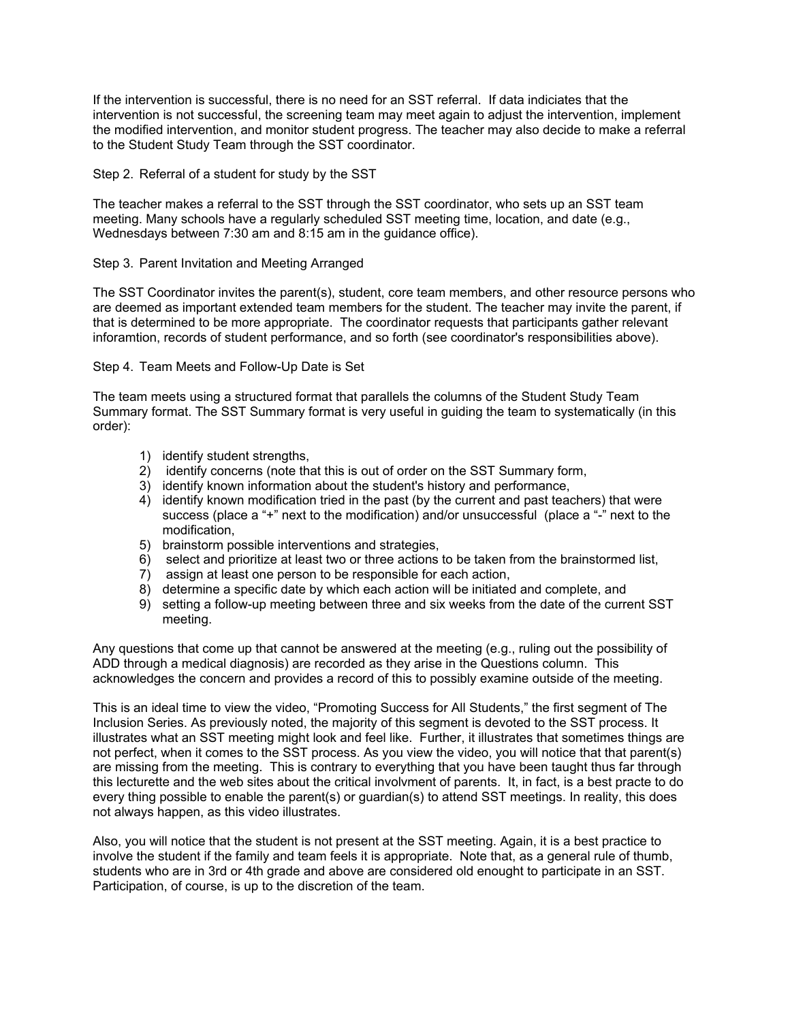If the intervention is successful, there is no need for an SST referral. If data indiciates that the intervention is not successful, the screening team may meet again to adjust the intervention, implement the modified intervention, and monitor student progress. The teacher may also decide to make a referral to the Student Study Team through the SST coordinator.

Step 2. Referral of a student for study by the SST

The teacher makes a referral to the SST through the SST coordinator, who sets up an SST team meeting. Many schools have a regularly scheduled SST meeting time, location, and date (e.g., Wednesdays between 7:30 am and 8:15 am in the guidance office).

#### Step 3. Parent Invitation and Meeting Arranged

The SST Coordinator invites the parent(s), student, core team members, and other resource persons who are deemed as important extended team members for the student. The teacher may invite the parent, if that is determined to be more appropriate. The coordinator requests that participants gather relevant inforamtion, records of student performance, and so forth (see coordinator's responsibilities above).

Step 4. Team Meets and Follow-Up Date is Set

The team meets using a structured format that parallels the columns of the Student Study Team Summary format. The SST Summary format is very useful in guiding the team to systematically (in this order):

- 1) identify student strengths,
- 2) identify concerns (note that this is out of order on the SST Summary form,
- 3) identify known information about the student's history and performance,
- 4) identify known modification tried in the past (by the current and past teachers) that were success (place a "+" next to the modification) and/or unsuccessful (place a "-" next to the modification,
- 5) brainstorm possible interventions and strategies,
- 6) select and prioritize at least two or three actions to be taken from the brainstormed list,
- 7) assign at least one person to be responsible for each action,
- 8) determine a specific date by which each action will be initiated and complete, and
- 9) setting a follow-up meeting between three and six weeks from the date of the current SST meeting.

Any questions that come up that cannot be answered at the meeting (e.g., ruling out the possibility of ADD through a medical diagnosis) are recorded as they arise in the Questions column. This acknowledges the concern and provides a record of this to possibly examine outside of the meeting.

This is an ideal time to view the video, "Promoting Success for All Students," the first segment of The Inclusion Series. As previously noted, the majority of this segment is devoted to the SST process. It illustrates what an SST meeting might look and feel like. Further, it illustrates that sometimes things are not perfect, when it comes to the SST process. As you view the video, you will notice that that parent(s) are missing from the meeting. This is contrary to everything that you have been taught thus far through this lecturette and the web sites about the critical involvment of parents. It, in fact, is a best practe to do every thing possible to enable the parent(s) or guardian(s) to attend SST meetings. In reality, this does not always happen, as this video illustrates.

Also, you will notice that the student is not present at the SST meeting. Again, it is a best practice to involve the student if the family and team feels it is appropriate. Note that, as a general rule of thumb, students who are in 3rd or 4th grade and above are considered old enought to participate in an SST. Participation, of course, is up to the discretion of the team.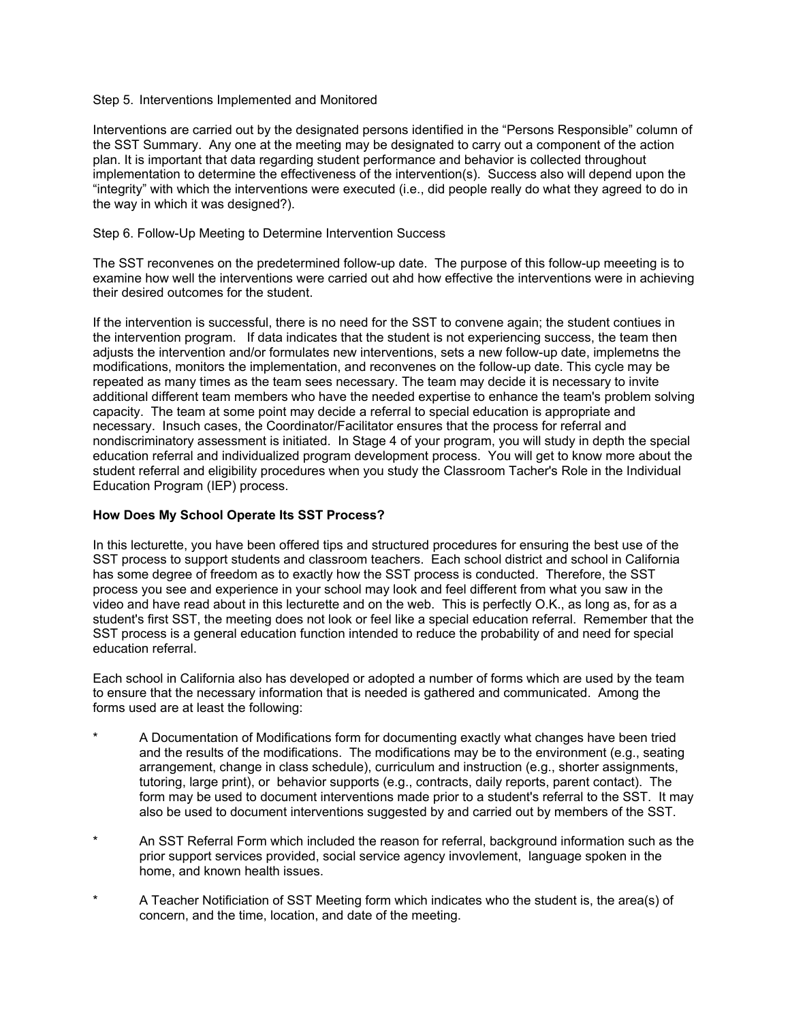#### Step 5. Interventions Implemented and Monitored

Interventions are carried out by the designated persons identified in the "Persons Responsible" column of the SST Summary. Any one at the meeting may be designated to carry out a component of the action plan. It is important that data regarding student performance and behavior is collected throughout implementation to determine the effectiveness of the intervention(s). Success also will depend upon the "integrity" with which the interventions were executed (i.e., did people really do what they agreed to do in the way in which it was designed?).

#### Step 6. Follow-Up Meeting to Determine Intervention Success

The SST reconvenes on the predetermined follow-up date. The purpose of this follow-up meeeting is to examine how well the interventions were carried out ahd how effective the interventions were in achieving their desired outcomes for the student.

If the intervention is successful, there is no need for the SST to convene again; the student contiues in the intervention program. If data indicates that the student is not experiencing success, the team then adjusts the intervention and/or formulates new interventions, sets a new follow-up date, implemetns the modifications, monitors the implementation, and reconvenes on the follow-up date. This cycle may be repeated as many times as the team sees necessary. The team may decide it is necessary to invite additional different team members who have the needed expertise to enhance the team's problem solving capacity. The team at some point may decide a referral to special education is appropriate and necessary. Insuch cases, the Coordinator/Facilitator ensures that the process for referral and nondiscriminatory assessment is initiated. In Stage 4 of your program, you will study in depth the special education referral and individualized program development process. You will get to know more about the student referral and eligibility procedures when you study the Classroom Tacher's Role in the Individual Education Program (IEP) process.

#### **How Does My School Operate Its SST Process?**

In this lecturette, you have been offered tips and structured procedures for ensuring the best use of the SST process to support students and classroom teachers. Each school district and school in California has some degree of freedom as to exactly how the SST process is conducted. Therefore, the SST process you see and experience in your school may look and feel different from what you saw in the video and have read about in this lecturette and on the web. This is perfectly O.K., as long as, for as a student's first SST, the meeting does not look or feel like a special education referral. Remember that the SST process is a general education function intended to reduce the probability of and need for special education referral.

Each school in California also has developed or adopted a number of forms which are used by the team to ensure that the necessary information that is needed is gathered and communicated. Among the forms used are at least the following:

- A Documentation of Modifications form for documenting exactly what changes have been tried and the results of the modifications. The modifications may be to the environment (e.g., seating arrangement, change in class schedule), curriculum and instruction (e.g., shorter assignments, tutoring, large print), or behavior supports (e.g., contracts, daily reports, parent contact). The form may be used to document interventions made prior to a student's referral to the SST. It may also be used to document interventions suggested by and carried out by members of the SST.
- \* An SST Referral Form which included the reason for referral, background information such as the prior support services provided, social service agency invovlement, language spoken in the home, and known health issues.
- A Teacher Notificiation of SST Meeting form which indicates who the student is, the area(s) of concern, and the time, location, and date of the meeting.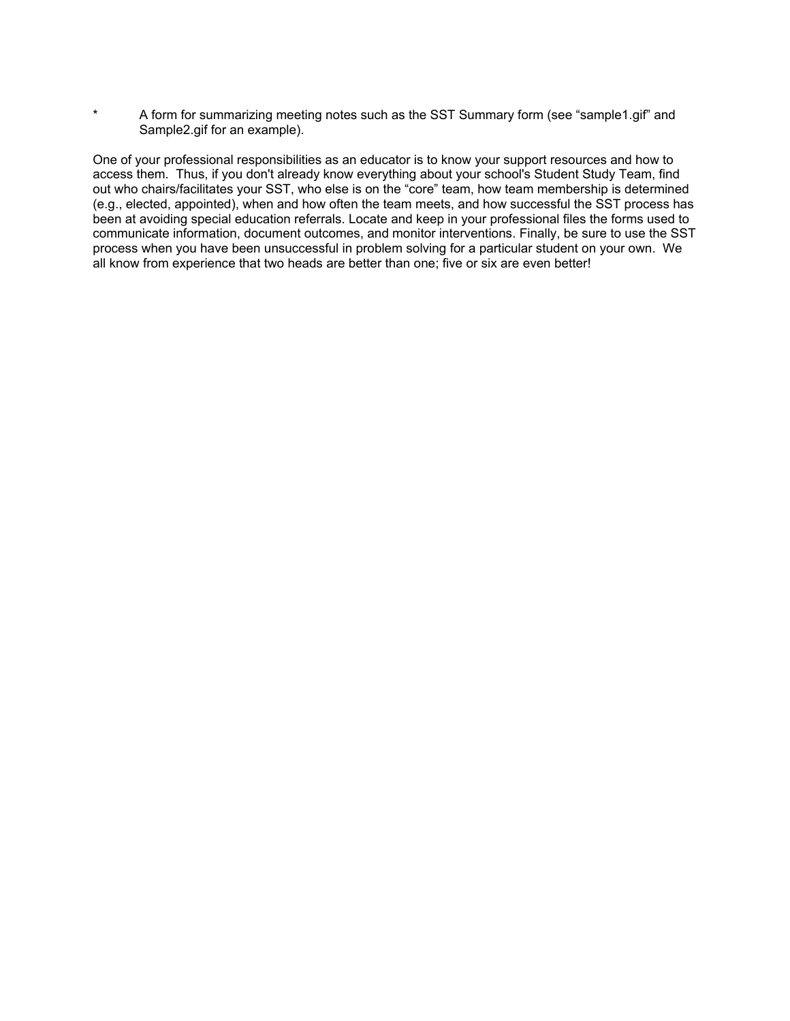\* A form for summarizing meeting notes such as the SST Summary form (see "sample1.gif" and Sample2.gif for an example).

One of your professional responsibilities as an educator is to know your support resources and how to access them. Thus, if you don't already know everything about your school's Student Study Team, find out who chairs/facilitates your SST, who else is on the "core" team, how team membership is determined (e.g., elected, appointed), when and how often the team meets, and how successful the SST process has been at avoiding special education referrals. Locate and keep in your professional files the forms used to communicate information, document outcomes, and monitor interventions. Finally, be sure to use the SST process when you have been unsuccessful in problem solving for a particular student on your own. We all know from experience that two heads are better than one; five or six are even better!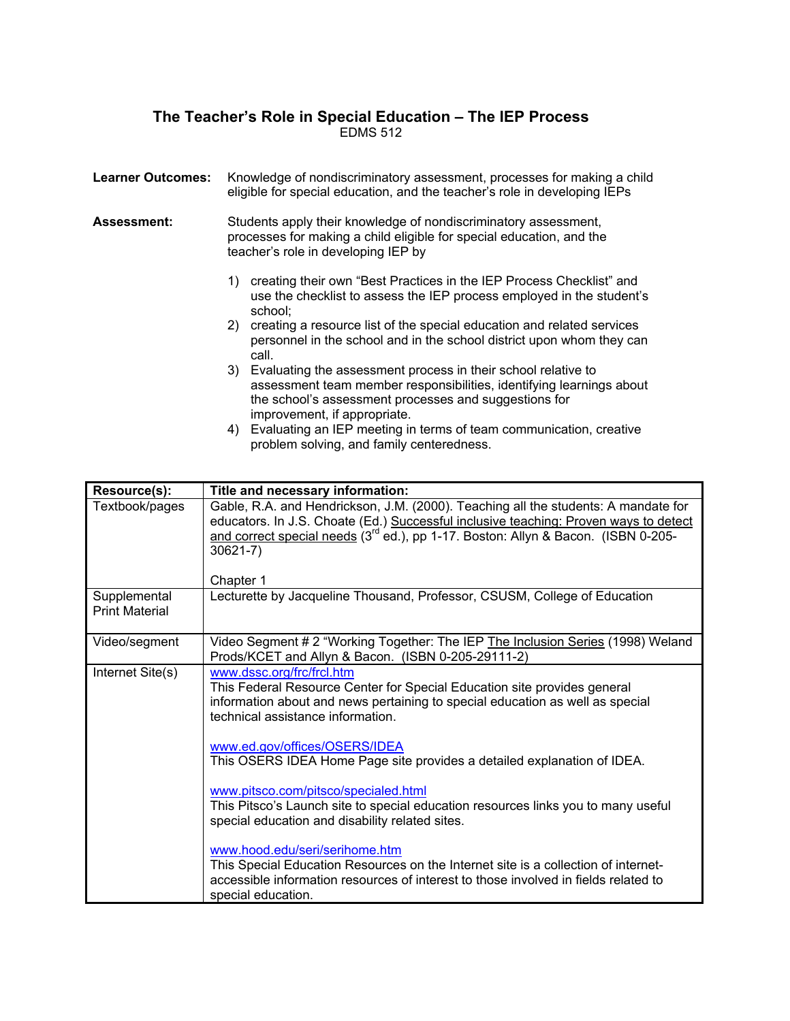## **The Teacher's Role in Special Education – The IEP Process**  EDMS 512

| <b>Learner Outcomes:</b> | Knowledge of nondiscriminatory assessment, processes for making a child<br>eligible for special education, and the teacher's role in developing IEPs                                                                                 |  |
|--------------------------|--------------------------------------------------------------------------------------------------------------------------------------------------------------------------------------------------------------------------------------|--|
| <b>Assessment:</b>       | Students apply their knowledge of nondiscriminatory assessment,<br>processes for making a child eligible for special education, and the<br>teacher's role in developing IEP by                                                       |  |
|                          | creating their own "Best Practices in the IEP Process Checklist" and<br>1)<br>use the checklist to assess the IEP process employed in the student's<br>school;                                                                       |  |
|                          | 2) creating a resource list of the special education and related services<br>personnel in the school and in the school district upon whom they can<br>call.                                                                          |  |
|                          | Evaluating the assessment process in their school relative to<br>3)<br>assessment team member responsibilities, identifying learnings about<br>the school's assessment processes and suggestions for<br>improvement, if appropriate. |  |

4) Evaluating an IEP meeting in terms of team communication, creative problem solving, and family centeredness.

| Resource(s):                          | Title and necessary information:                                                                                                                                                                                                                                                                          |
|---------------------------------------|-----------------------------------------------------------------------------------------------------------------------------------------------------------------------------------------------------------------------------------------------------------------------------------------------------------|
| Textbook/pages                        | Gable, R.A. and Hendrickson, J.M. (2000). Teaching all the students: A mandate for<br>educators. In J.S. Choate (Ed.) Successful inclusive teaching: Proven ways to detect<br>and correct special needs (3 <sup>rd</sup> ed.), pp 1-17. Boston: Allyn & Bacon. (ISBN 0-205-<br>$30621 - 7$ )<br>Chapter 1 |
| Supplemental<br><b>Print Material</b> | Lecturette by Jacqueline Thousand, Professor, CSUSM, College of Education                                                                                                                                                                                                                                 |
| Video/segment                         | Video Segment # 2 "Working Together: The IEP The Inclusion Series (1998) Weland<br>Prods/KCET and Allyn & Bacon. (ISBN 0-205-29111-2)                                                                                                                                                                     |
| Internet Site(s)                      | www.dssc.org/frc/frcl.htm<br>This Federal Resource Center for Special Education site provides general<br>information about and news pertaining to special education as well as special<br>technical assistance information.                                                                               |
|                                       | www.ed.gov/offices/OSERS/IDEA<br>This OSERS IDEA Home Page site provides a detailed explanation of IDEA.                                                                                                                                                                                                  |
|                                       | www.pitsco.com/pitsco/specialed.html<br>This Pitsco's Launch site to special education resources links you to many useful<br>special education and disability related sites.                                                                                                                              |
|                                       | www.hood.edu/seri/serihome.htm<br>This Special Education Resources on the Internet site is a collection of internet-<br>accessible information resources of interest to those involved in fields related to<br>special education.                                                                         |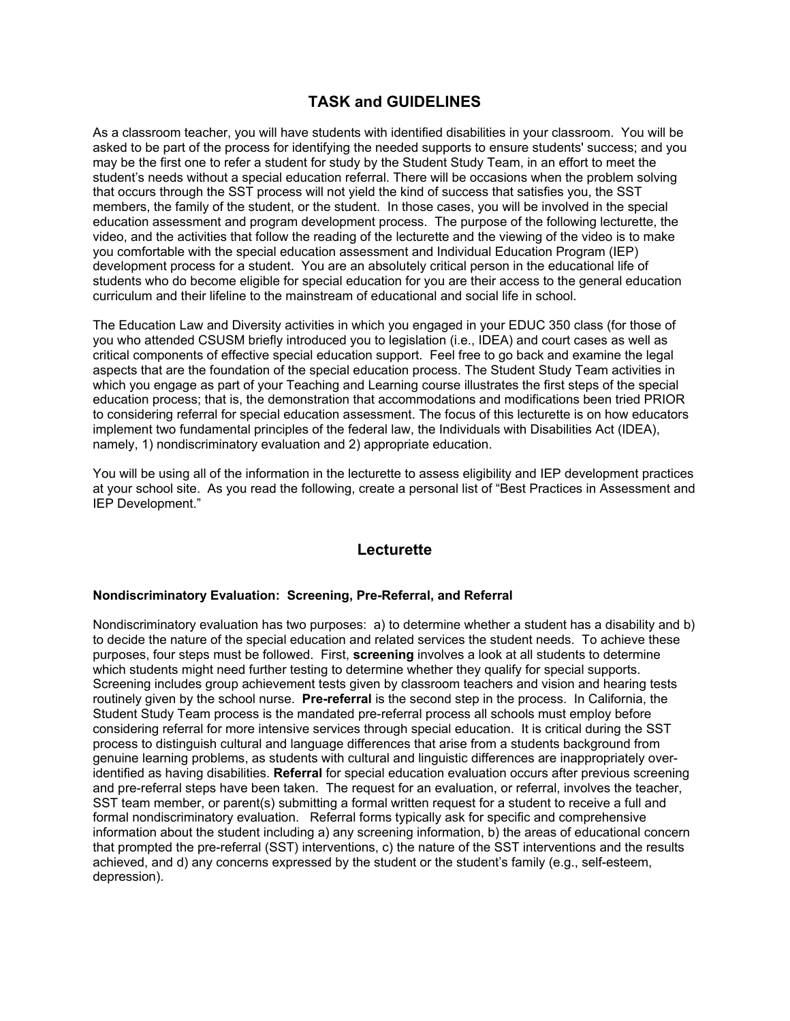# **TASK and GUIDELINES**

As a classroom teacher, you will have students with identified disabilities in your classroom. You will be asked to be part of the process for identifying the needed supports to ensure students' success; and you may be the first one to refer a student for study by the Student Study Team, in an effort to meet the student's needs without a special education referral. There will be occasions when the problem solving that occurs through the SST process will not yield the kind of success that satisfies you, the SST members, the family of the student, or the student. In those cases, you will be involved in the special education assessment and program development process. The purpose of the following lecturette, the video, and the activities that follow the reading of the lecturette and the viewing of the video is to make you comfortable with the special education assessment and Individual Education Program (IEP) development process for a student. You are an absolutely critical person in the educational life of students who do become eligible for special education for you are their access to the general education curriculum and their lifeline to the mainstream of educational and social life in school.

The Education Law and Diversity activities in which you engaged in your EDUC 350 class (for those of you who attended CSUSM briefly introduced you to legislation (i.e., IDEA) and court cases as well as critical components of effective special education support. Feel free to go back and examine the legal aspects that are the foundation of the special education process. The Student Study Team activities in which you engage as part of your Teaching and Learning course illustrates the first steps of the special education process; that is, the demonstration that accommodations and modifications been tried PRIOR to considering referral for special education assessment. The focus of this lecturette is on how educators implement two fundamental principles of the federal law, the Individuals with Disabilities Act (IDEA), namely, 1) nondiscriminatory evaluation and 2) appropriate education.

You will be using all of the information in the lecturette to assess eligibility and IEP development practices at your school site. As you read the following, create a personal list of "Best Practices in Assessment and IEP Development."

### **Lecturette**

#### **Nondiscriminatory Evaluation: Screening, Pre-Referral, and Referral**

Nondiscriminatory evaluation has two purposes: a) to determine whether a student has a disability and b) to decide the nature of the special education and related services the student needs. To achieve these purposes, four steps must be followed. First, **screening** involves a look at all students to determine which students might need further testing to determine whether they qualify for special supports. Screening includes group achievement tests given by classroom teachers and vision and hearing tests routinely given by the school nurse. **Pre-referral** is the second step in the process. In California, the Student Study Team process is the mandated pre-referral process all schools must employ before considering referral for more intensive services through special education. It is critical during the SST process to distinguish cultural and language differences that arise from a students background from genuine learning problems, as students with cultural and linguistic differences are inappropriately overidentified as having disabilities. **Referral** for special education evaluation occurs after previous screening and pre-referral steps have been taken. The request for an evaluation, or referral, involves the teacher, SST team member, or parent(s) submitting a formal written request for a student to receive a full and formal nondiscriminatory evaluation. Referral forms typically ask for specific and comprehensive information about the student including a) any screening information, b) the areas of educational concern that prompted the pre-referral (SST) interventions, c) the nature of the SST interventions and the results achieved, and d) any concerns expressed by the student or the student's family (e.g., self-esteem, depression).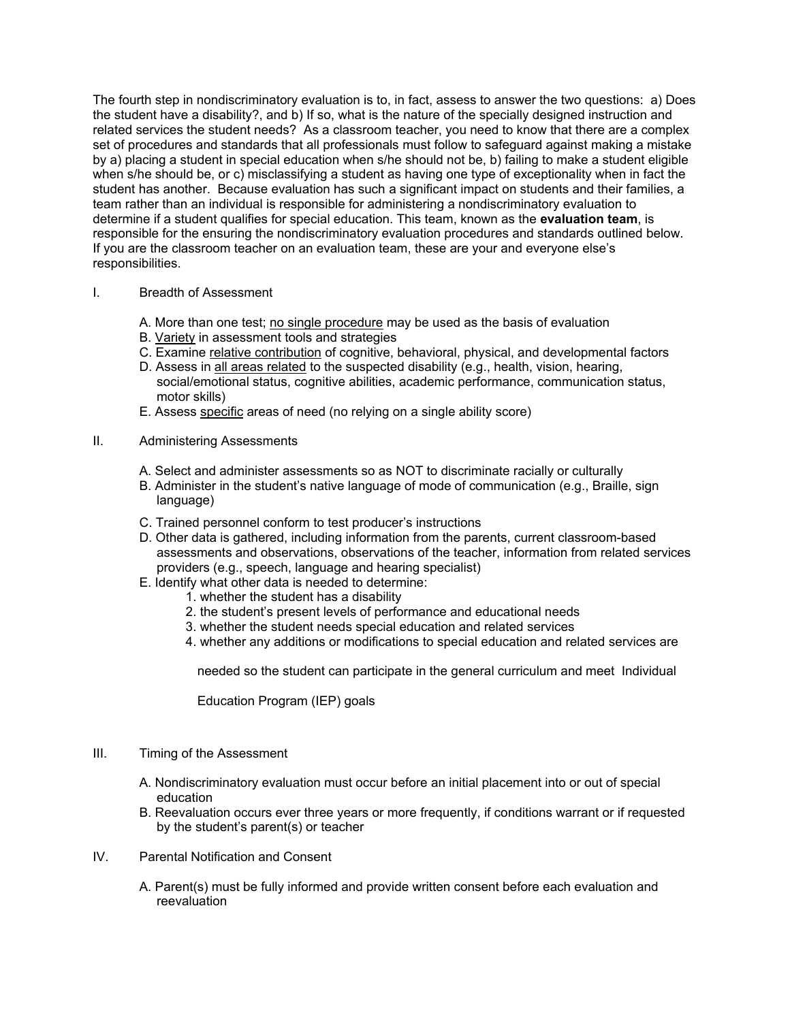The fourth step in nondiscriminatory evaluation is to, in fact, assess to answer the two questions: a) Does the student have a disability?, and b) If so, what is the nature of the specially designed instruction and related services the student needs? As a classroom teacher, you need to know that there are a complex set of procedures and standards that all professionals must follow to safeguard against making a mistake by a) placing a student in special education when s/he should not be, b) failing to make a student eligible when s/he should be, or c) misclassifying a student as having one type of exceptionality when in fact the student has another. Because evaluation has such a significant impact on students and their families, a team rather than an individual is responsible for administering a nondiscriminatory evaluation to determine if a student qualifies for special education. This team, known as the **evaluation team**, is responsible for the ensuring the nondiscriminatory evaluation procedures and standards outlined below. If you are the classroom teacher on an evaluation team, these are your and everyone else's responsibilities.

#### I. Breadth of Assessment

- A. More than one test; no single procedure may be used as the basis of evaluation
- B. Variety in assessment tools and strategies
- C. Examine relative contribution of cognitive, behavioral, physical, and developmental factors
- D. Assess in all areas related to the suspected disability (e.g., health, vision, hearing, social/emotional status, cognitive abilities, academic performance, communication status, motor skills)
- E. Assess specific areas of need (no relying on a single ability score)
- II. Administering Assessments
	- A. Select and administer assessments so as NOT to discriminate racially or culturally
	- B. Administer in the student's native language of mode of communication (e.g., Braille, sign language)
	- C. Trained personnel conform to test producer's instructions
	- D. Other data is gathered, including information from the parents, current classroom-based assessments and observations, observations of the teacher, information from related services providers (e.g., speech, language and hearing specialist)
	- E. Identify what other data is needed to determine:
		- 1. whether the student has a disability
		- 2. the student's present levels of performance and educational needs
		- 3. whether the student needs special education and related services
		- 4. whether any additions or modifications to special education and related services are

needed so the student can participate in the general curriculum and meet Individual

Education Program (IEP) goals

#### III. Timing of the Assessment

- A. Nondiscriminatory evaluation must occur before an initial placement into or out of special education
- B. Reevaluation occurs ever three years or more frequently, if conditions warrant or if requested by the student's parent(s) or teacher
- IV. Parental Notification and Consent
	- A. Parent(s) must be fully informed and provide written consent before each evaluation and reevaluation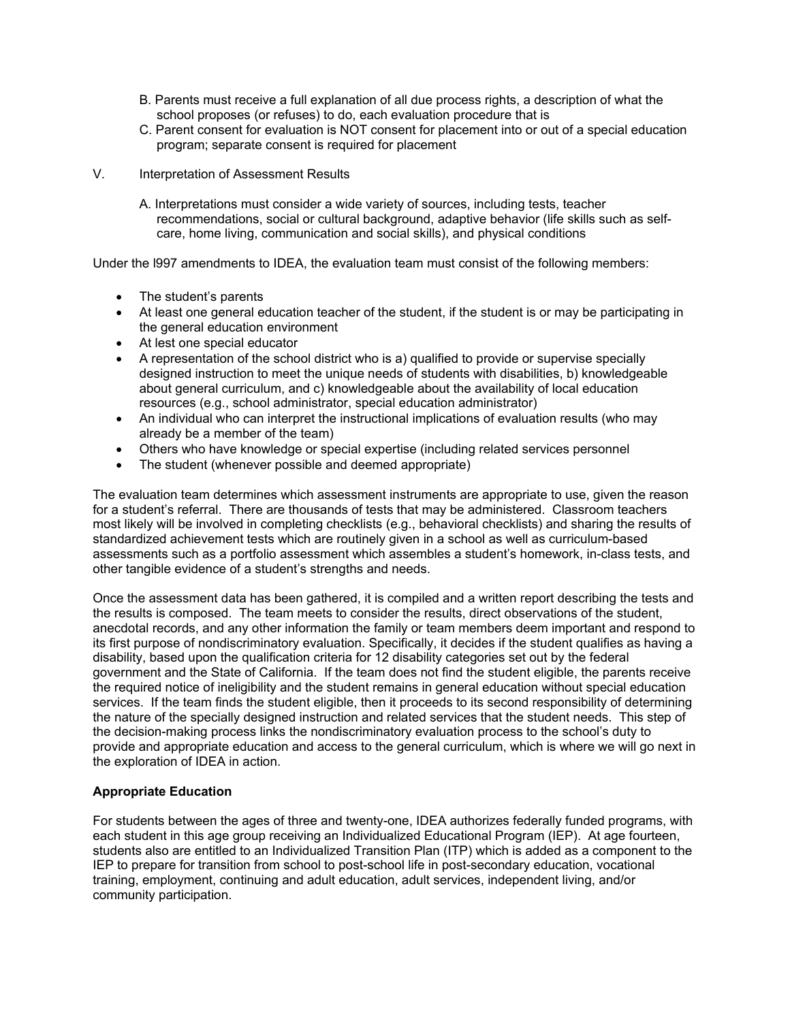- B. Parents must receive a full explanation of all due process rights, a description of what the school proposes (or refuses) to do, each evaluation procedure that is
- C. Parent consent for evaluation is NOT consent for placement into or out of a special education program; separate consent is required for placement
- V. Interpretation of Assessment Results
	- A. Interpretations must consider a wide variety of sources, including tests, teacher recommendations, social or cultural background, adaptive behavior (life skills such as selfcare, home living, communication and social skills), and physical conditions

Under the l997 amendments to IDEA, the evaluation team must consist of the following members:

- The student's parents
- At least one general education teacher of the student, if the student is or may be participating in the general education environment
- At lest one special educator
- A representation of the school district who is a) qualified to provide or supervise specially designed instruction to meet the unique needs of students with disabilities, b) knowledgeable about general curriculum, and c) knowledgeable about the availability of local education resources (e.g., school administrator, special education administrator)
- An individual who can interpret the instructional implications of evaluation results (who may already be a member of the team)
- Others who have knowledge or special expertise (including related services personnel
- The student (whenever possible and deemed appropriate)

The evaluation team determines which assessment instruments are appropriate to use, given the reason for a student's referral. There are thousands of tests that may be administered. Classroom teachers most likely will be involved in completing checklists (e.g., behavioral checklists) and sharing the results of standardized achievement tests which are routinely given in a school as well as curriculum-based assessments such as a portfolio assessment which assembles a student's homework, in-class tests, and other tangible evidence of a student's strengths and needs.

Once the assessment data has been gathered, it is compiled and a written report describing the tests and the results is composed. The team meets to consider the results, direct observations of the student, anecdotal records, and any other information the family or team members deem important and respond to its first purpose of nondiscriminatory evaluation. Specifically, it decides if the student qualifies as having a disability, based upon the qualification criteria for 12 disability categories set out by the federal government and the State of California. If the team does not find the student eligible, the parents receive the required notice of ineligibility and the student remains in general education without special education services. If the team finds the student eligible, then it proceeds to its second responsibility of determining the nature of the specially designed instruction and related services that the student needs. This step of the decision-making process links the nondiscriminatory evaluation process to the school's duty to provide and appropriate education and access to the general curriculum, which is where we will go next in the exploration of IDEA in action.

### **Appropriate Education**

For students between the ages of three and twenty-one, IDEA authorizes federally funded programs, with each student in this age group receiving an Individualized Educational Program (IEP). At age fourteen, students also are entitled to an Individualized Transition Plan (ITP) which is added as a component to the IEP to prepare for transition from school to post-school life in post-secondary education, vocational training, employment, continuing and adult education, adult services, independent living, and/or community participation.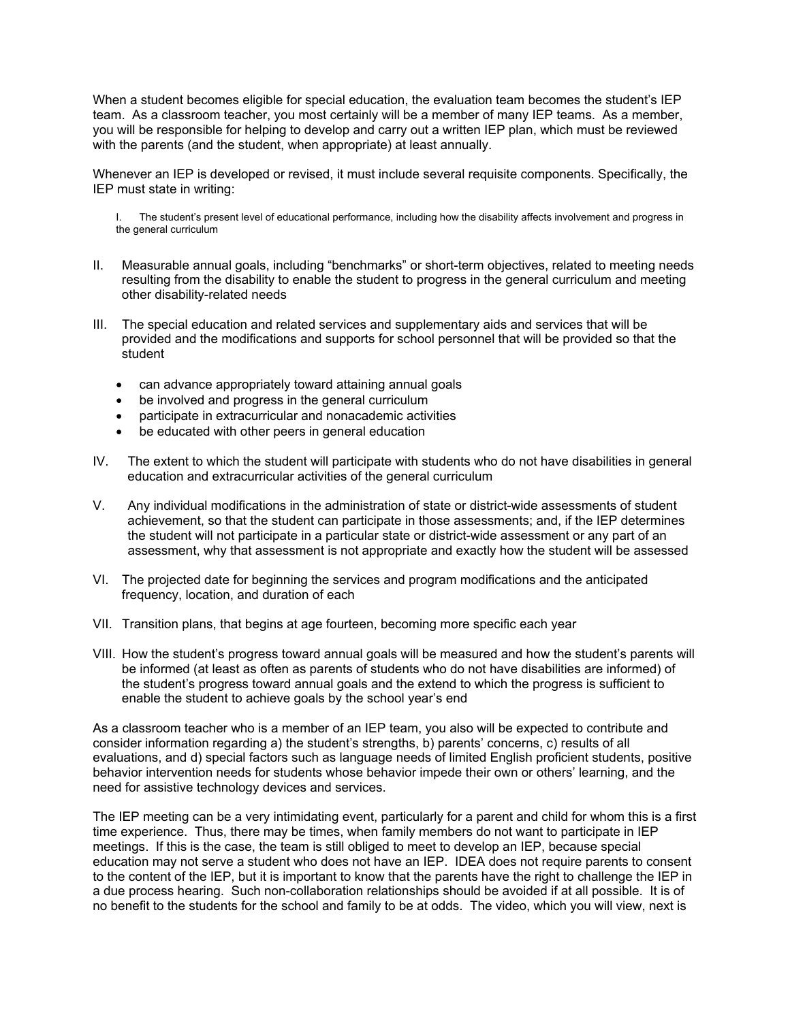When a student becomes eligible for special education, the evaluation team becomes the student's IEP team. As a classroom teacher, you most certainly will be a member of many IEP teams. As a member, you will be responsible for helping to develop and carry out a written IEP plan, which must be reviewed with the parents (and the student, when appropriate) at least annually.

Whenever an IEP is developed or revised, it must include several requisite components. Specifically, the IEP must state in writing:

I. The student's present level of educational performance, including how the disability affects involvement and progress in the general curriculum

- II. Measurable annual goals, including "benchmarks" or short-term objectives, related to meeting needs resulting from the disability to enable the student to progress in the general curriculum and meeting other disability-related needs
- III. The special education and related services and supplementary aids and services that will be provided and the modifications and supports for school personnel that will be provided so that the student
	- can advance appropriately toward attaining annual goals
	- be involved and progress in the general curriculum
	- participate in extracurricular and nonacademic activities
	- be educated with other peers in general education
- IV. The extent to which the student will participate with students who do not have disabilities in general education and extracurricular activities of the general curriculum
- V. Any individual modifications in the administration of state or district-wide assessments of student achievement, so that the student can participate in those assessments; and, if the IEP determines the student will not participate in a particular state or district-wide assessment or any part of an assessment, why that assessment is not appropriate and exactly how the student will be assessed
- VI. The projected date for beginning the services and program modifications and the anticipated frequency, location, and duration of each
- VII. Transition plans, that begins at age fourteen, becoming more specific each year
- VIII. How the student's progress toward annual goals will be measured and how the student's parents will be informed (at least as often as parents of students who do not have disabilities are informed) of the student's progress toward annual goals and the extend to which the progress is sufficient to enable the student to achieve goals by the school year's end

As a classroom teacher who is a member of an IEP team, you also will be expected to contribute and consider information regarding a) the student's strengths, b) parents' concerns, c) results of all evaluations, and d) special factors such as language needs of limited English proficient students, positive behavior intervention needs for students whose behavior impede their own or others' learning, and the need for assistive technology devices and services.

The IEP meeting can be a very intimidating event, particularly for a parent and child for whom this is a first time experience. Thus, there may be times, when family members do not want to participate in IEP meetings. If this is the case, the team is still obliged to meet to develop an IEP, because special education may not serve a student who does not have an IEP. IDEA does not require parents to consent to the content of the IEP, but it is important to know that the parents have the right to challenge the IEP in a due process hearing. Such non-collaboration relationships should be avoided if at all possible. It is of no benefit to the students for the school and family to be at odds. The video, which you will view, next is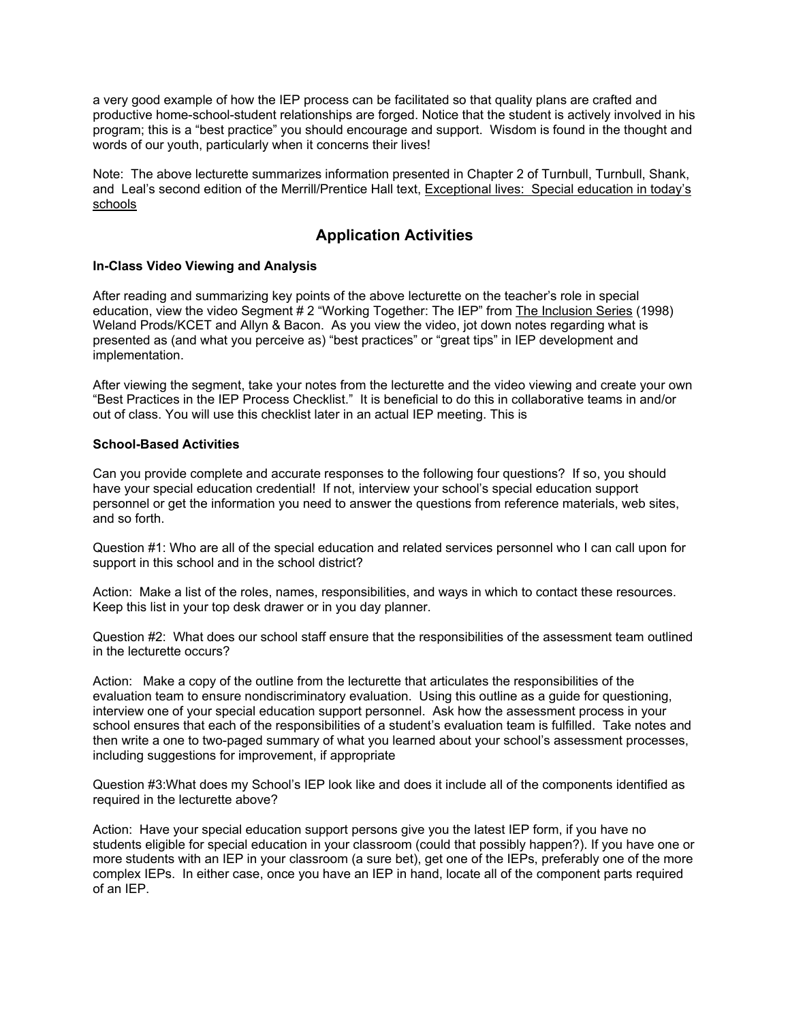a very good example of how the IEP process can be facilitated so that quality plans are crafted and productive home-school-student relationships are forged. Notice that the student is actively involved in his program; this is a "best practice" you should encourage and support. Wisdom is found in the thought and words of our youth, particularly when it concerns their lives!

Note: The above lecturette summarizes information presented in Chapter 2 of Turnbull, Turnbull, Shank, and Leal's second edition of the Merrill/Prentice Hall text, Exceptional lives: Special education in today's schools

# **Application Activities**

#### **In-Class Video Viewing and Analysis**

After reading and summarizing key points of the above lecturette on the teacher's role in special education, view the video Segment # 2 "Working Together: The IEP" from The Inclusion Series (1998) Weland Prods/KCET and Allyn & Bacon. As you view the video, jot down notes regarding what is presented as (and what you perceive as) "best practices" or "great tips" in IEP development and implementation.

After viewing the segment, take your notes from the lecturette and the video viewing and create your own "Best Practices in the IEP Process Checklist." It is beneficial to do this in collaborative teams in and/or out of class. You will use this checklist later in an actual IEP meeting. This is

#### **School-Based Activities**

Can you provide complete and accurate responses to the following four questions? If so, you should have your special education credential! If not, interview your school's special education support personnel or get the information you need to answer the questions from reference materials, web sites, and so forth.

Question #1: Who are all of the special education and related services personnel who I can call upon for support in this school and in the school district?

Action: Make a list of the roles, names, responsibilities, and ways in which to contact these resources. Keep this list in your top desk drawer or in you day planner.

Question #2: What does our school staff ensure that the responsibilities of the assessment team outlined in the lecturette occurs?

Action: Make a copy of the outline from the lecturette that articulates the responsibilities of the evaluation team to ensure nondiscriminatory evaluation. Using this outline as a guide for questioning, interview one of your special education support personnel. Ask how the assessment process in your school ensures that each of the responsibilities of a student's evaluation team is fulfilled. Take notes and then write a one to two-paged summary of what you learned about your school's assessment processes, including suggestions for improvement, if appropriate

Question #3:What does my School's IEP look like and does it include all of the components identified as required in the lecturette above?

Action: Have your special education support persons give you the latest IEP form, if you have no students eligible for special education in your classroom (could that possibly happen?). If you have one or more students with an IEP in your classroom (a sure bet), get one of the IEPs, preferably one of the more complex IEPs. In either case, once you have an IEP in hand, locate all of the component parts required of an IEP.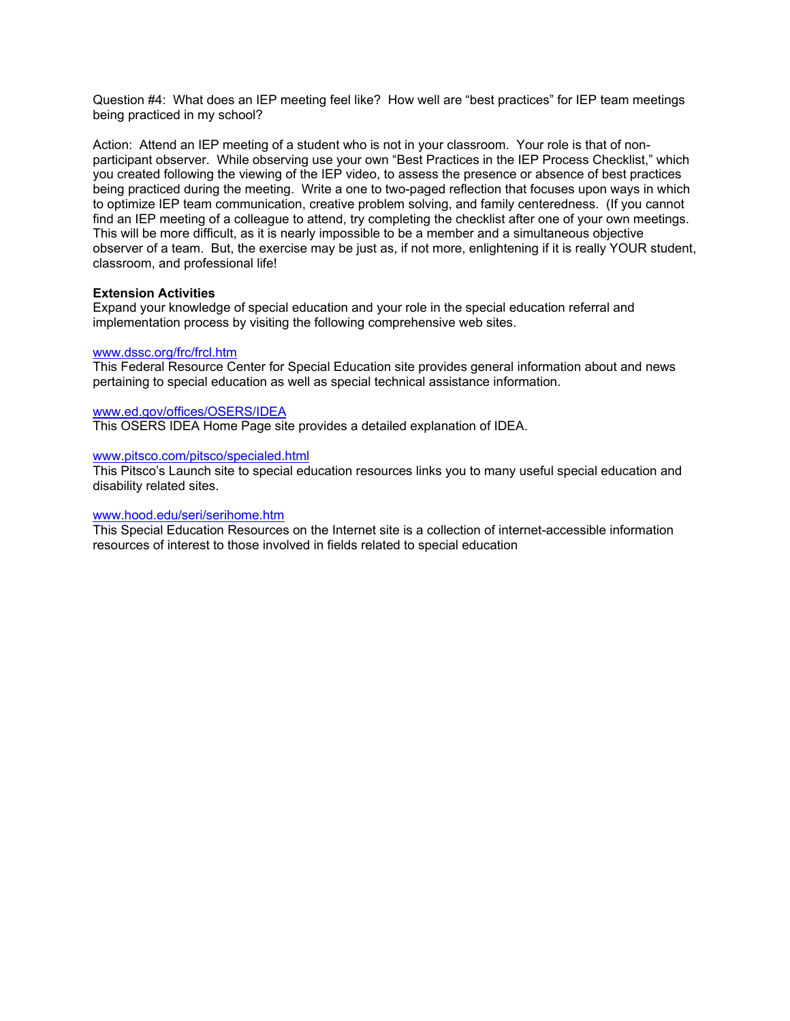Question #4: What does an IEP meeting feel like? How well are "best practices" for IEP team meetings being practiced in my school?

Action: Attend an IEP meeting of a student who is not in your classroom. Your role is that of nonparticipant observer. While observing use your own "Best Practices in the IEP Process Checklist," which you created following the viewing of the IEP video, to assess the presence or absence of best practices being practiced during the meeting. Write a one to two-paged reflection that focuses upon ways in which to optimize IEP team communication, creative problem solving, and family centeredness. (If you cannot find an IEP meeting of a colleague to attend, try completing the checklist after one of your own meetings. This will be more difficult, as it is nearly impossible to be a member and a simultaneous objective observer of a team. But, the exercise may be just as, if not more, enlightening if it is really YOUR student, classroom, and professional life!

#### **Extension Activities**

Expand your knowledge of special education and your role in the special education referral and implementation process by visiting the following comprehensive web sites.

#### www.dssc.org/frc/frcl.htm

This Federal Resource Center for Special Education site provides general information about and news pertaining to special education as well as special technical assistance information.

#### www.ed.gov/offices/OSERS/IDEA

This OSERS IDEA Home Page site provides a detailed explanation of IDEA.

#### www.pitsco.com/pitsco/specialed.html

This Pitsco's Launch site to special education resources links you to many useful special education and disability related sites.

#### www.hood.edu/seri/serihome.htm

This Special Education Resources on the Internet site is a collection of internet-accessible information resources of interest to those involved in fields related to special education